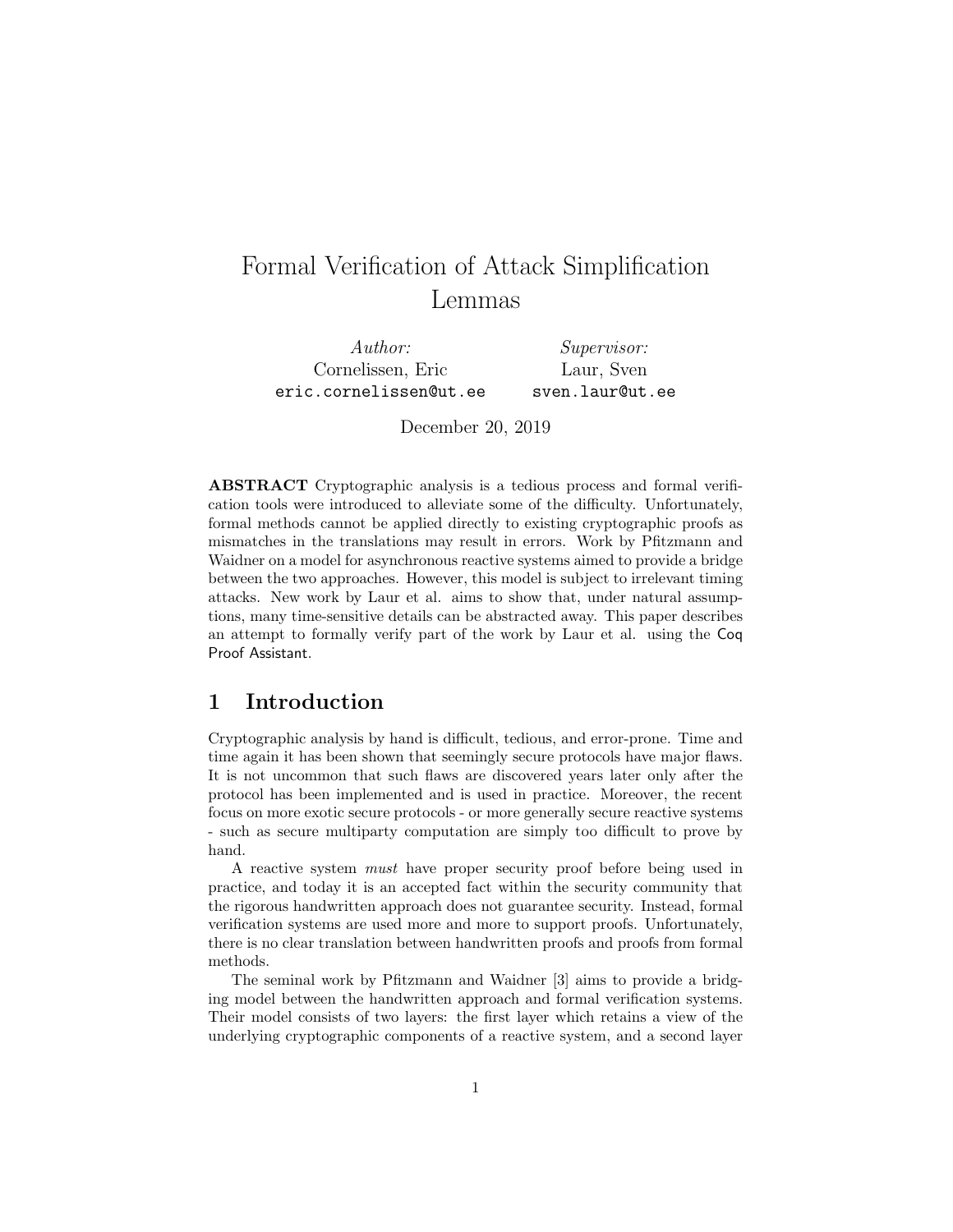# Formal Verification of Attack Simplification Lemmas

Author: Cornelissen, Eric eric.cornelissen@ut.ee Supervisor: Laur, Sven sven.laur@ut.ee

December 20, 2019

ABSTRACT Cryptographic analysis is a tedious process and formal verification tools were introduced to alleviate some of the difficulty. Unfortunately, formal methods cannot be applied directly to existing cryptographic proofs as mismatches in the translations may result in errors. Work by Pfitzmann and Waidner on a model for asynchronous reactive systems aimed to provide a bridge between the two approaches. However, this model is subject to irrelevant timing attacks. New work by Laur et al. aims to show that, under natural assumptions, many time-sensitive details can be abstracted away. This paper describes an attempt to formally verify part of the work by Laur et al. using the Coq Proof Assistant.

## 1 Introduction

Cryptographic analysis by hand is difficult, tedious, and error-prone. Time and time again it has been shown that seemingly secure protocols have major flaws. It is not uncommon that such flaws are discovered years later only after the protocol has been implemented and is used in practice. Moreover, the recent focus on more exotic secure protocols - or more generally secure reactive systems - such as secure multiparty computation are simply too difficult to prove by hand.

A reactive system must have proper security proof before being used in practice, and today it is an accepted fact within the security community that the rigorous handwritten approach does not guarantee security. Instead, formal verification systems are used more and more to support proofs. Unfortunately, there is no clear translation between handwritten proofs and proofs from formal methods.

The seminal work by Pfitzmann and Waidner [\[3\]](#page-25-0) aims to provide a bridging model between the handwritten approach and formal verification systems. Their model consists of two layers: the first layer which retains a view of the underlying cryptographic components of a reactive system, and a second layer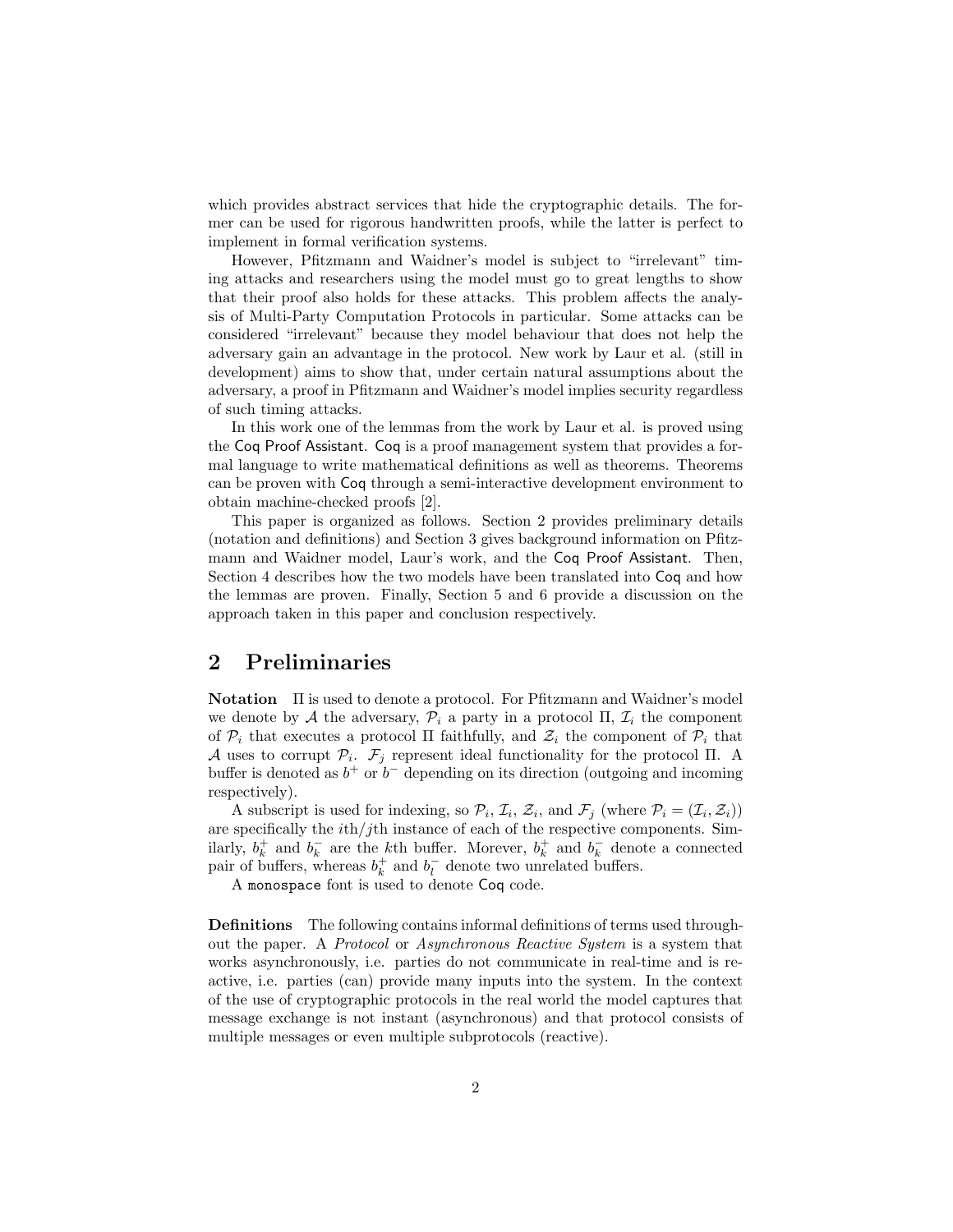which provides abstract services that hide the cryptographic details. The former can be used for rigorous handwritten proofs, while the latter is perfect to implement in formal verification systems.

However, Pfitzmann and Waidner's model is subject to "irrelevant" timing attacks and researchers using the model must go to great lengths to show that their proof also holds for these attacks. This problem affects the analysis of Multi-Party Computation Protocols in particular. Some attacks can be considered "irrelevant" because they model behaviour that does not help the adversary gain an advantage in the protocol. New work by Laur et al. (still in development) aims to show that, under certain natural assumptions about the adversary, a proof in Pfitzmann and Waidner's model implies security regardless of such timing attacks.

In this work one of the lemmas from the work by Laur et al. is proved using the Coq Proof Assistant. Coq is a proof management system that provides a formal language to write mathematical definitions as well as theorems. Theorems can be proven with Coq through a semi-interactive development environment to obtain machine-checked proofs [\[2\]](#page-25-1).

This paper is organized as follows. Section [2](#page-1-0) provides preliminary details (notation and definitions) and Section [3](#page-2-0) gives background information on Pfitzmann and Waidner model, Laur's work, and the Coq Proof Assistant. Then, Section [4](#page-7-0) describes how the two models have been translated into Coq and how the lemmas are proven. Finally, Section [5](#page-22-0) and [6](#page-24-0) provide a discussion on the approach taken in this paper and conclusion respectively.

# <span id="page-1-0"></span>2 Preliminaries

Notation Π is used to denote a protocol. For Pfitzmann and Waidner's model we denote by A the adversary,  $\mathcal{P}_i$  a party in a protocol  $\Pi$ ,  $\mathcal{I}_i$  the component of  $\mathcal{P}_i$  that executes a protocol  $\Pi$  faithfully, and  $\mathcal{Z}_i$  the component of  $\mathcal{P}_i$  that A uses to corrupt  $\mathcal{P}_i$ .  $\mathcal{F}_j$  represent ideal functionality for the protocol  $\Pi$ . A buffer is denoted as  $b^+$  or  $b^-$  depending on its direction (outgoing and incoming respectively).

A subscript is used for indexing, so  $\mathcal{P}_i$ ,  $\mathcal{I}_i$ ,  $\mathcal{Z}_i$ , and  $\mathcal{F}_j$  (where  $\mathcal{P}_i = (\mathcal{I}_i, \mathcal{Z}_i)$ ) are specifically the  $ith/jth$  instance of each of the respective components. Similarly,  $b_k^+$  and  $b_k^-$  are the *k*<sup>th</sup> buffer. Morever,  $b_k^+$  and  $b_k^-$  denote a connected pair of buffers, whereas  $b_k^+$  and  $b_l^-$  denote two unrelated buffers.

A monospace font is used to denote Coq code.

Definitions The following contains informal definitions of terms used throughout the paper. A Protocol or Asynchronous Reactive System is a system that works asynchronously, i.e. parties do not communicate in real-time and is reactive, i.e. parties (can) provide many inputs into the system. In the context of the use of cryptographic protocols in the real world the model captures that message exchange is not instant (asynchronous) and that protocol consists of multiple messages or even multiple subprotocols (reactive).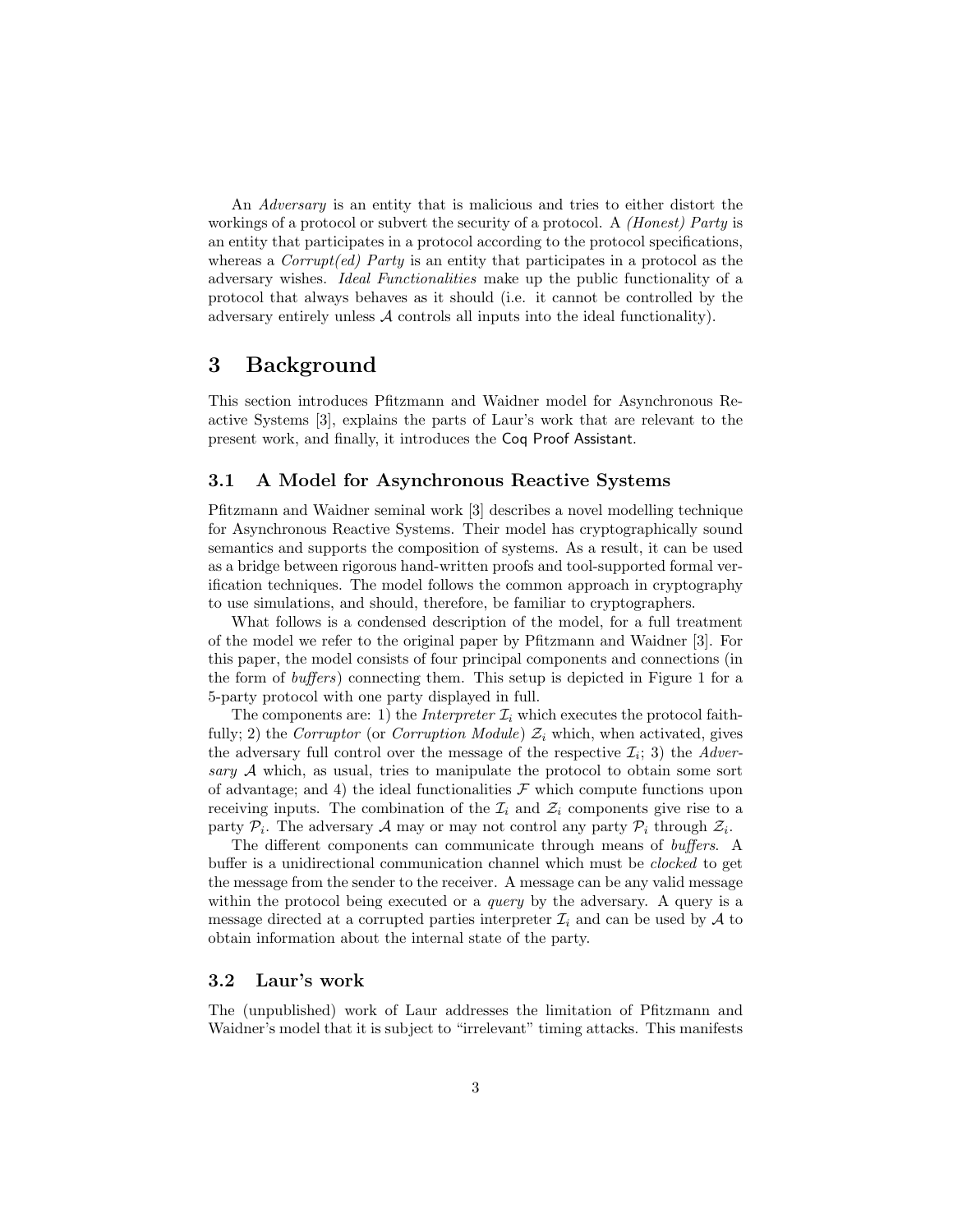An Adversary is an entity that is malicious and tries to either distort the workings of a protocol or subvert the security of a protocol. A *(Honest) Party* is an entity that participates in a protocol according to the protocol specifications, whereas a  $Corrupt(ed)$  Party is an entity that participates in a protocol as the adversary wishes. Ideal Functionalities make up the public functionality of a protocol that always behaves as it should (i.e. it cannot be controlled by the adversary entirely unless A controls all inputs into the ideal functionality).

## <span id="page-2-0"></span>3 Background

This section introduces Pfitzmann and Waidner model for Asynchronous Reactive Systems [\[3\]](#page-25-0), explains the parts of Laur's work that are relevant to the present work, and finally, it introduces the Coq Proof Assistant.

## <span id="page-2-2"></span>3.1 A Model for Asynchronous Reactive Systems

Pfitzmann and Waidner seminal work [\[3\]](#page-25-0) describes a novel modelling technique for Asynchronous Reactive Systems. Their model has cryptographically sound semantics and supports the composition of systems. As a result, it can be used as a bridge between rigorous hand-written proofs and tool-supported formal verification techniques. The model follows the common approach in cryptography to use simulations, and should, therefore, be familiar to cryptographers.

What follows is a condensed description of the model, for a full treatment of the model we refer to the original paper by Pfitzmann and Waidner [\[3\]](#page-25-0). For this paper, the model consists of four principal components and connections (in the form of buffers) connecting them. This setup is depicted in Figure [1](#page-3-0) for a 5-party protocol with one party displayed in full.

The components are: 1) the *Interpreter*  $\mathcal{I}_i$  which executes the protocol faithfully; 2) the Corruptor (or Corruption Module)  $\mathcal{Z}_i$  which, when activated, gives the adversary full control over the message of the respective  $\mathcal{I}_i$ ; 3) the Adversary A which, as usual, tries to manipulate the protocol to obtain some sort of advantage; and 4) the ideal functionalities  $\mathcal F$  which compute functions upon receiving inputs. The combination of the  $\mathcal{I}_i$  and  $\mathcal{Z}_i$  components give rise to a party  $P_i$ . The adversary A may or may not control any party  $P_i$  through  $\mathcal{Z}_i$ .

The different components can communicate through means of buffers. A buffer is a unidirectional communication channel which must be clocked to get the message from the sender to the receiver. A message can be any valid message within the protocol being executed or a *query* by the adversary. A query is a message directed at a corrupted parties interpreter  $\mathcal{I}_i$  and can be used by  $\mathcal{A}$  to obtain information about the internal state of the party.

#### <span id="page-2-1"></span>3.2 Laur's work

The (unpublished) work of Laur addresses the limitation of Pfitzmann and Waidner's model that it is subject to "irrelevant" timing attacks. This manifests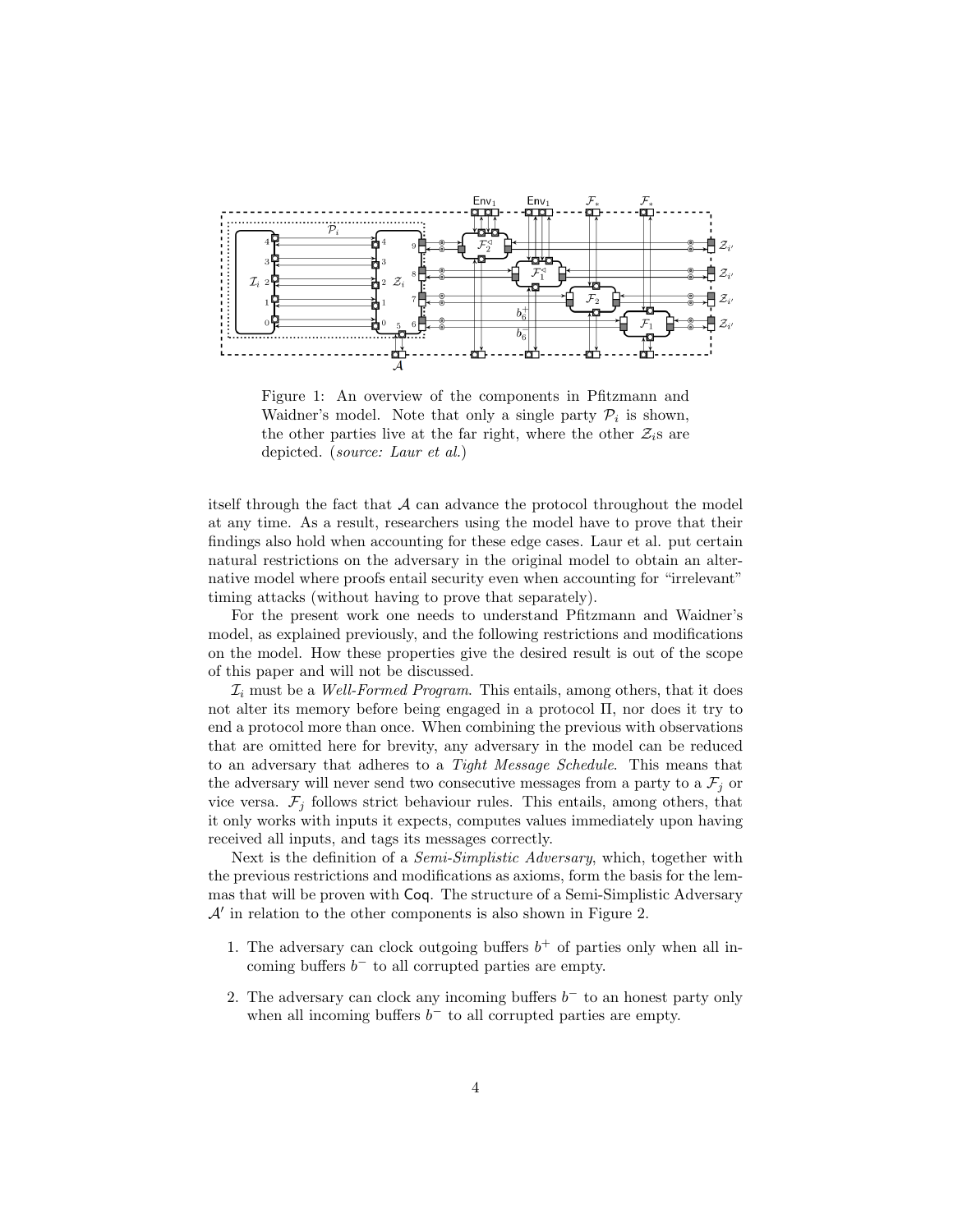<span id="page-3-0"></span>

Figure 1: An overview of the components in Pfitzmann and Waidner's model. Note that only a single party  $P_i$  is shown, the other parties live at the far right, where the other  $\mathcal{Z}_i$ s are depicted. (*source: Laur et al.*)

itself through the fact that  $A$  can advance the protocol throughout the model at any time. As a result, researchers using the model have to prove that their findings also hold when accounting for these edge cases. Laur et al. put certain natural restrictions on the adversary in the original model to obtain an alternative model where proofs entail security even when accounting for "irrelevant" timing attacks (without having to prove that separately).

For the present work one needs to understand Pfitzmann and Waidner's model, as explained previously, and the following restrictions and modifications on the model. How these properties give the desired result is out of the scope of this paper and will not be discussed.

 $\mathcal{I}_i$  must be a Well-Formed Program. This entails, among others, that it does not alter its memory before being engaged in a protocol Π, nor does it try to end a protocol more than once. When combining the previous with observations that are omitted here for brevity, any adversary in the model can be reduced to an adversary that adheres to a Tight Message Schedule. This means that the adversary will never send two consecutive messages from a party to a  $\mathcal{F}_j$  or vice versa.  $\mathcal{F}_j$  follows strict behaviour rules. This entails, among others, that it only works with inputs it expects, computes values immediately upon having received all inputs, and tags its messages correctly.

Next is the definition of a *Semi-Simplistic Adversary*, which, together with the previous restrictions and modifications as axioms, form the basis for the lemmas that will be proven with Coq. The structure of a Semi-Simplistic Adversary  $\mathcal{A}'$  in relation to the other components is also shown in Figure [2.](#page-4-0)

- 1. The adversary can clock outgoing buffers  $b^+$  of parties only when all incoming buffers  $b^-$  to all corrupted parties are empty.
- 2. The adversary can clock any incoming buffers  $b^-$  to an honest party only when all incoming buffers  $b^-$  to all corrupted parties are empty.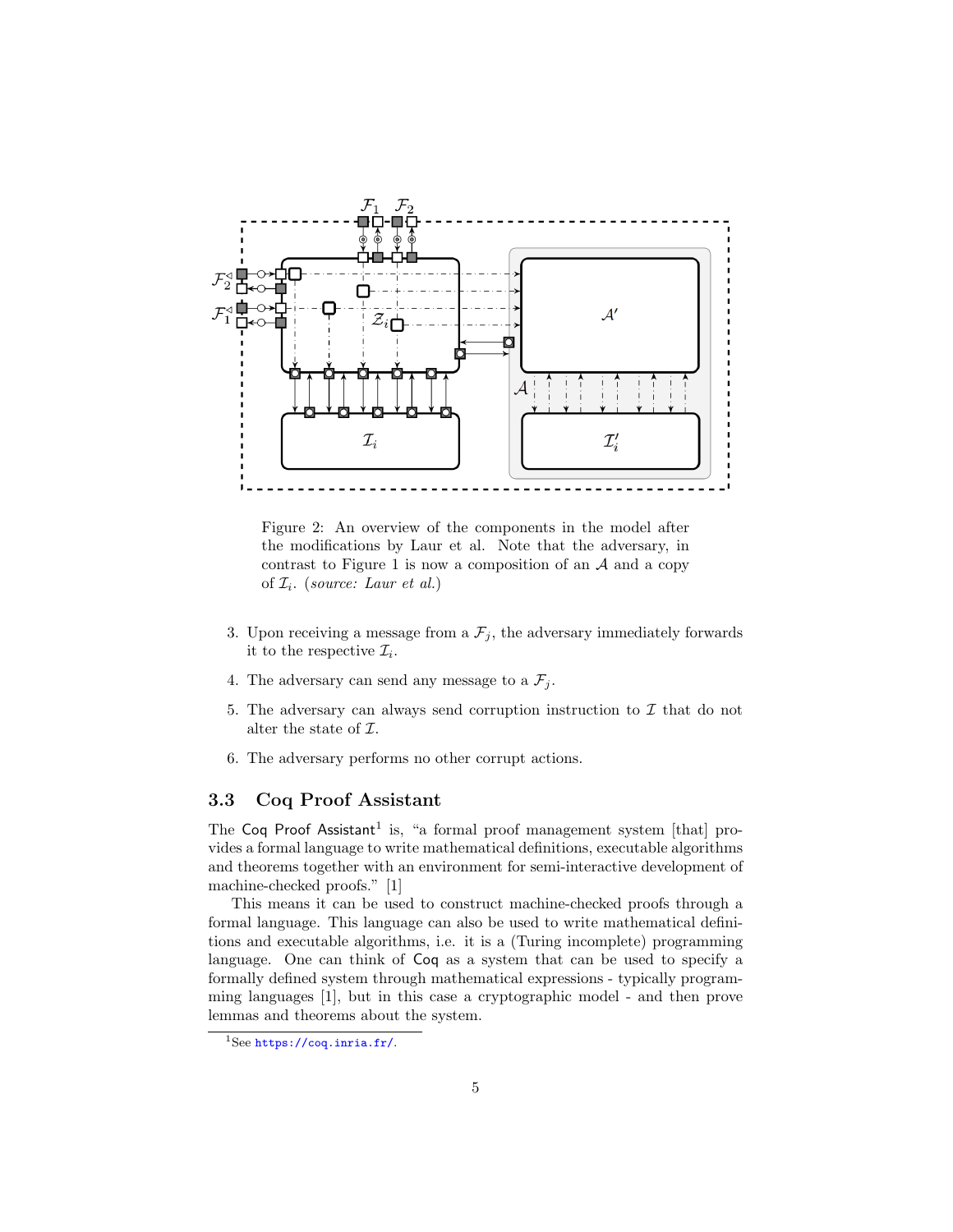<span id="page-4-0"></span>

Figure 2: An overview of the components in the model after the modifications by Laur et al. Note that the adversary, in contrast to Figure [1](#page-3-0) is now a composition of an  $A$  and a copy of  $\mathcal{I}_i$ . (source: Laur et al.)

- 3. Upon receiving a message from a  $\mathcal{F}_j$ , the adversary immediately forwards it to the respective  $\mathcal{I}_i$ .
- 4. The adversary can send any message to a  $\mathcal{F}_j$ .
- 5. The adversary can always send corruption instruction to  $\mathcal I$  that do not alter the state of  $\mathcal{I}.$
- 6. The adversary performs no other corrupt actions.

## 3.3 Coq Proof Assistant

The Coq Proof Assistant<sup>[1](#page-4-1)</sup> is, "a formal proof management system [that] provides a formal language to write mathematical definitions, executable algorithms and theorems together with an environment for semi-interactive development of machine-checked proofs." [\[1\]](#page-25-2)

This means it can be used to construct machine-checked proofs through a formal language. This language can also be used to write mathematical definitions and executable algorithms, i.e. it is a (Turing incomplete) programming language. One can think of Coq as a system that can be used to specify a formally defined system through mathematical expressions - typically programming languages [\[1\]](#page-25-2), but in this case a cryptographic model - and then prove lemmas and theorems about the system.

<span id="page-4-1"></span><sup>1</sup>See <https://coq.inria.fr/>.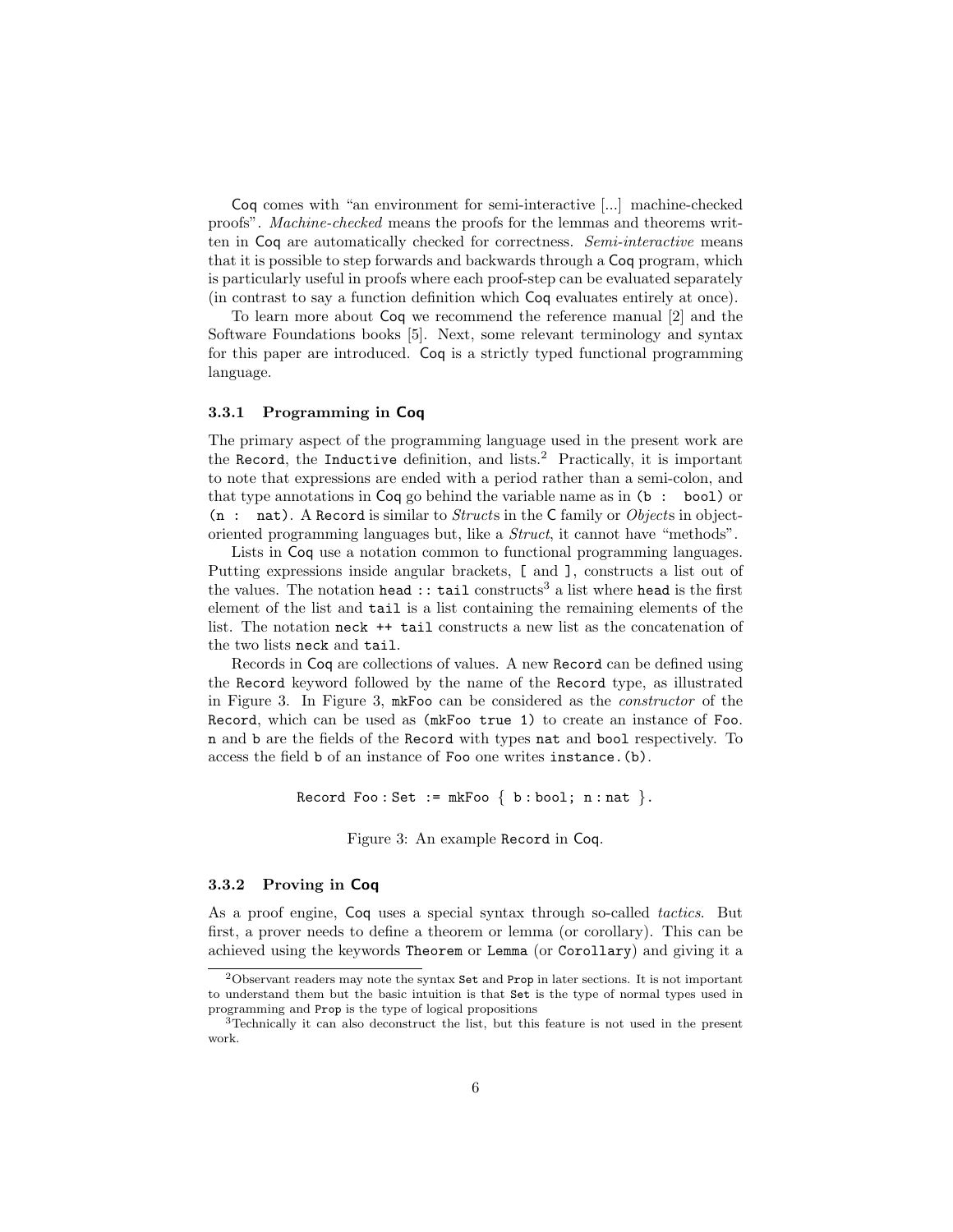Coq comes with "an environment for semi-interactive [...] machine-checked proofs". Machine-checked means the proofs for the lemmas and theorems written in Coq are automatically checked for correctness. Semi-interactive means that it is possible to step forwards and backwards through a Coq program, which is particularly useful in proofs where each proof-step can be evaluated separately (in contrast to say a function definition which Coq evaluates entirely at once).

To learn more about Coq we recommend the reference manual [\[2\]](#page-25-1) and the Software Foundations books [\[5\]](#page-25-3). Next, some relevant terminology and syntax for this paper are introduced. Coq is a strictly typed functional programming language.

### 3.3.1 Programming in Coq

The primary aspect of the programming language used in the present work are the Record, the Inductive definition, and lists.[2](#page-5-0) Practically, it is important to note that expressions are ended with a period rather than a semi-colon, and that type annotations in Coq go behind the variable name as in (b : bool) or  $(n : \text{nat})$ . A Record is similar to *Structs* in the C family or *Objects* in objectoriented programming languages but, like a Struct, it cannot have "methods".

Lists in Coq use a notation common to functional programming languages. Putting expressions inside angular brackets, [ and ], constructs a list out of the values. The notation head :: tail constructs<sup>[3](#page-5-1)</sup> a list where head is the first element of the list and tail is a list containing the remaining elements of the list. The notation neck ++ tail constructs a new list as the concatenation of the two lists neck and tail.

Records in Coq are collections of values. A new Record can be defined using the Record keyword followed by the name of the Record type, as illustrated in Figure [3.](#page-5-2) In Figure [3,](#page-5-2) mkFoo can be considered as the constructor of the Record, which can be used as (mkFoo true 1) to create an instance of Foo. n and b are the fields of the Record with types nat and bool respectively. To access the field b of an instance of Foo one writes instance.(b).

<span id="page-5-2"></span>Record Foo: Set := mkFoo  $\{ b : \text{bool} ; n : \text{nat} \}.$ 

Figure 3: An example Record in Coq.

#### 3.3.2 Proving in Coq

As a proof engine, Coq uses a special syntax through so-called tactics. But first, a prover needs to define a theorem or lemma (or corollary). This can be achieved using the keywords Theorem or Lemma (or Corollary) and giving it a

<span id="page-5-0"></span><sup>2</sup>Observant readers may note the syntax Set and Prop in later sections. It is not important to understand them but the basic intuition is that Set is the type of normal types used in programming and Prop is the type of logical propositions

<span id="page-5-1"></span><sup>3</sup>Technically it can also deconstruct the list, but this feature is not used in the present work.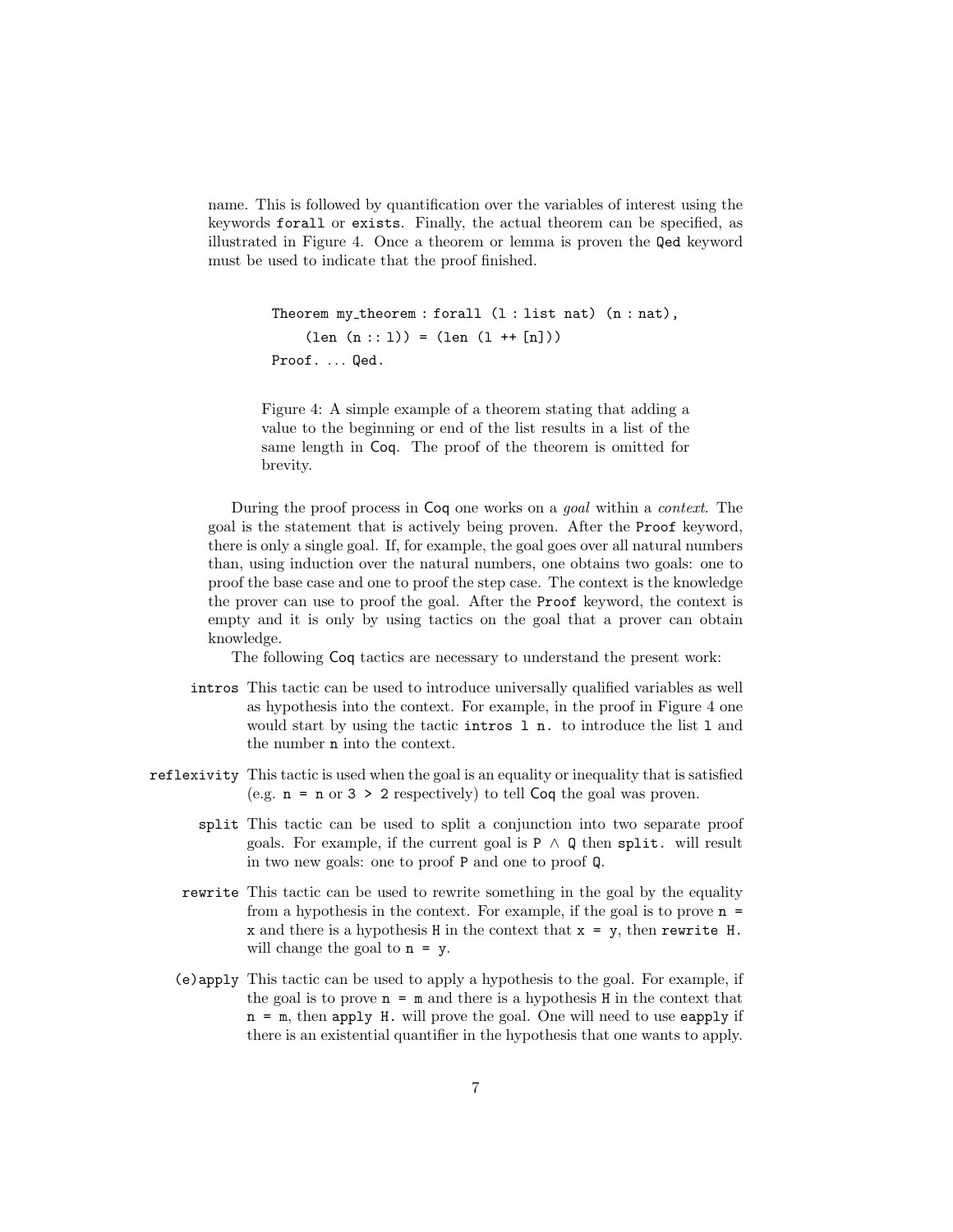name. This is followed by quantification over the variables of interest using the keywords forall or exists. Finally, the actual theorem can be specified, as illustrated in Figure [4.](#page-6-0) Once a theorem or lemma is proven the Qed keyword must be used to indicate that the proof finished.

```
Theorem my\_theorem : for all (l : list nat) (n : nat),(len (n:: 1)) = (len (1 ++ [n]))Proof. ... Qed.
```
Figure 4: A simple example of a theorem stating that adding a value to the beginning or end of the list results in a list of the same length in Coq. The proof of the theorem is omitted for brevity.

During the proof process in Coq one works on a goal within a context. The goal is the statement that is actively being proven. After the Proof keyword, there is only a single goal. If, for example, the goal goes over all natural numbers than, using induction over the natural numbers, one obtains two goals: one to proof the base case and one to proof the step case. The context is the knowledge the prover can use to proof the goal. After the Proof keyword, the context is empty and it is only by using tactics on the goal that a prover can obtain knowledge.

The following Coq tactics are necessary to understand the present work:

- intros This tactic can be used to introduce universally qualified variables as well as hypothesis into the context. For example, in the proof in Figure [4](#page-6-0) one would start by using the tactic intros l n. to introduce the list l and the number n into the context.
- reflexivity This tactic is used when the goal is an equality or inequality that is satisfied (e.g.  $n = n$  or  $3 > 2$  respectively) to tell Coq the goal was proven.
	- split This tactic can be used to split a conjunction into two separate proof goals. For example, if the current goal is  $P \wedge Q$  then split. will result in two new goals: one to proof P and one to proof Q.
	- rewrite This tactic can be used to rewrite something in the goal by the equality from a hypothesis in the context. For example, if the goal is to prove  $n =$ x and there is a hypothesis H in the context that  $x = y$ , then rewrite H. will change the goal to  $n = y$ .
	- (e)apply This tactic can be used to apply a hypothesis to the goal. For example, if the goal is to prove  $n = m$  and there is a hypothesis H in the context that n = m, then apply H. will prove the goal. One will need to use eapply if there is an existential quantifier in the hypothesis that one wants to apply.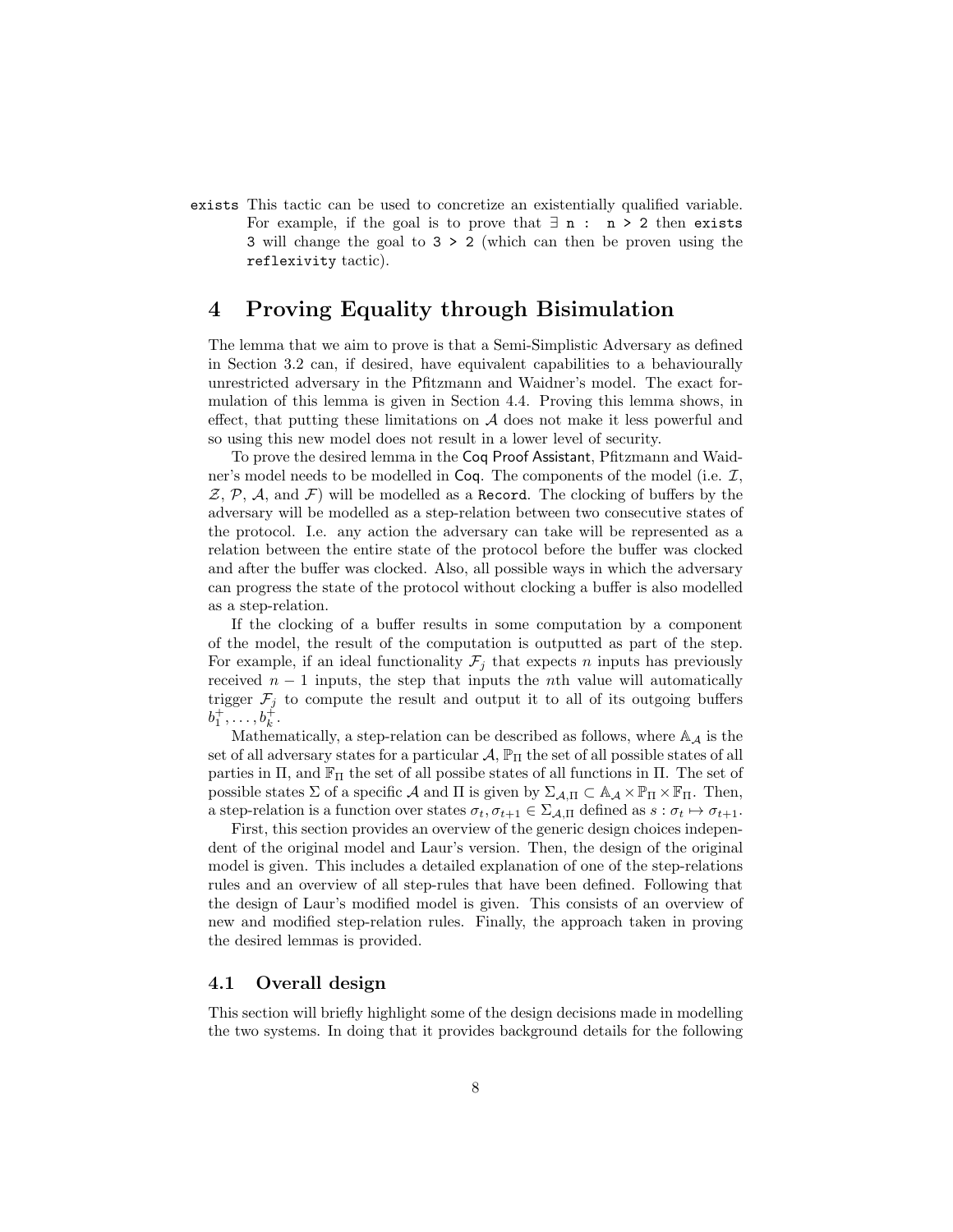exists This tactic can be used to concretize an existentially qualified variable. For example, if the goal is to prove that  $\exists n : n > 2$  then exists 3 will change the goal to 3 > 2 (which can then be proven using the reflexivity tactic).

# <span id="page-7-0"></span>4 Proving Equality through Bisimulation

The lemma that we aim to prove is that a Semi-Simplistic Adversary as defined in Section [3.2](#page-2-1) can, if desired, have equivalent capabilities to a behaviourally unrestricted adversary in the Pfitzmann and Waidner's model. The exact formulation of this lemma is given in Section [4.4.](#page-18-0) Proving this lemma shows, in effect, that putting these limitations on  $A$  does not make it less powerful and so using this new model does not result in a lower level of security.

To prove the desired lemma in the Coq Proof Assistant, Pfitzmann and Waidner's model needs to be modelled in  $\text{Coq}$ . The components of the model (i.e.  $\mathcal{I},$  $Z, \mathcal{P}, \mathcal{A}, \text{ and } \mathcal{F}$  will be modelled as a Record. The clocking of buffers by the adversary will be modelled as a step-relation between two consecutive states of the protocol. I.e. any action the adversary can take will be represented as a relation between the entire state of the protocol before the buffer was clocked and after the buffer was clocked. Also, all possible ways in which the adversary can progress the state of the protocol without clocking a buffer is also modelled as a step-relation.

If the clocking of a buffer results in some computation by a component of the model, the result of the computation is outputted as part of the step. For example, if an ideal functionality  $\mathcal{F}_j$  that expects n inputs has previously received  $n-1$  inputs, the step that inputs the nth value will automatically trigger  $\mathcal{F}_i$  to compute the result and output it to all of its outgoing buffers  $b_1^{\dagger},\ldots,b_k^{\dagger}.$ 

Mathematically, a step-relation can be described as follows, where  $\mathbb{A}_{\mathcal{A}}$  is the set of all adversary states for a particular  $\mathcal{A}, \mathbb{P}_{\Pi}$  the set of all possible states of all parties in  $\Pi$ , and  $\mathbb{F}_{\Pi}$  the set of all possibe states of all functions in  $\Pi$ . The set of possible states  $\Sigma$  of a specific  $\mathcal A$  and  $\Pi$  is given by  $\Sigma_{\mathcal A,\Pi} \subset \mathbb A_{\mathcal A} \times \mathbb P_{\Pi} \times \mathbb F_{\Pi}$ . Then, a step-relation is a function over states  $\sigma_t, \sigma_{t+1} \in \Sigma_{A,\Pi}$  defined as  $s : \sigma_t \mapsto \sigma_{t+1}$ .

First, this section provides an overview of the generic design choices independent of the original model and Laur's version. Then, the design of the original model is given. This includes a detailed explanation of one of the step-relations rules and an overview of all step-rules that have been defined. Following that the design of Laur's modified model is given. This consists of an overview of new and modified step-relation rules. Finally, the approach taken in proving the desired lemmas is provided.

## 4.1 Overall design

This section will briefly highlight some of the design decisions made in modelling the two systems. In doing that it provides background details for the following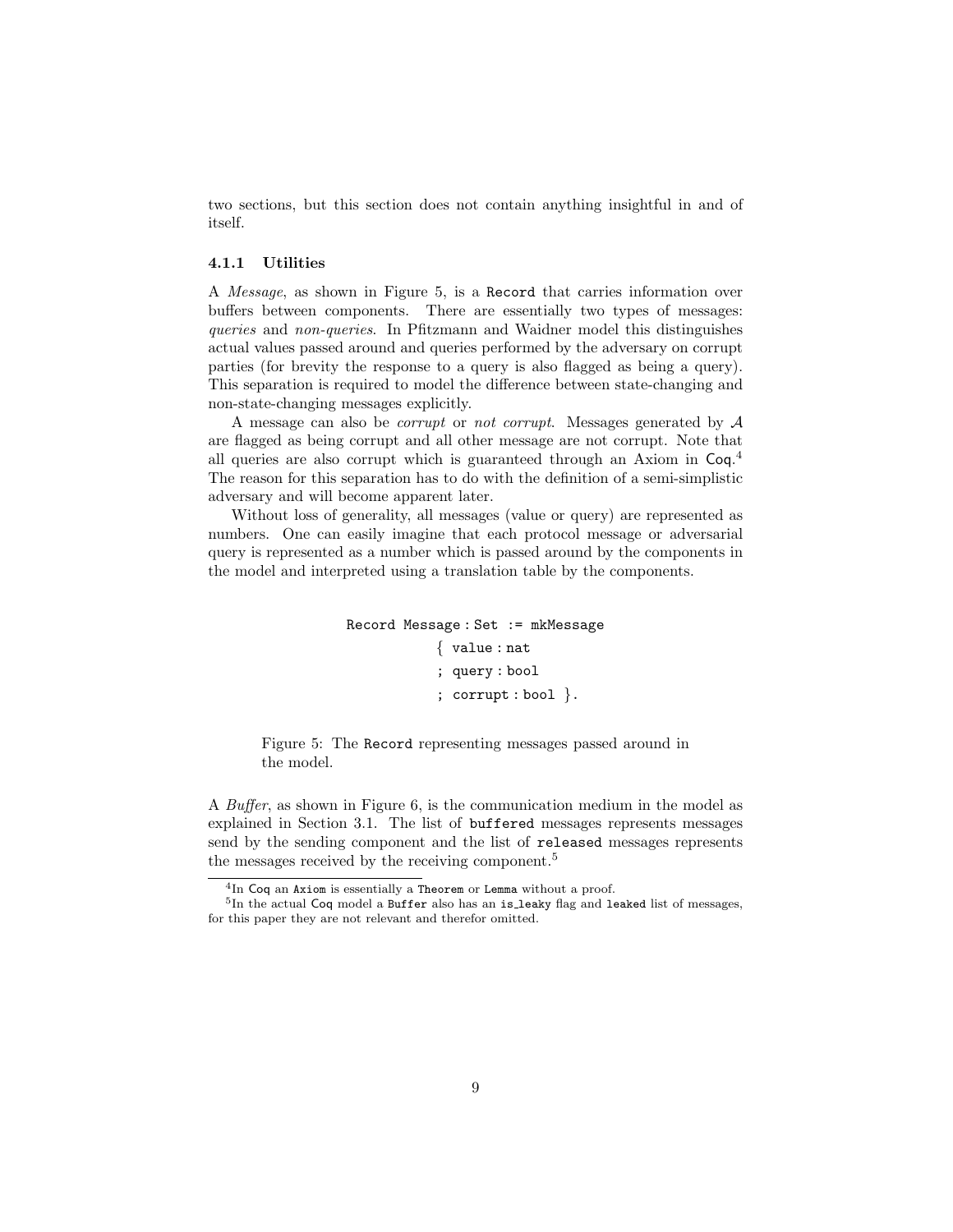two sections, but this section does not contain anything insightful in and of itself.

### 4.1.1 Utilities

A Message, as shown in Figure [5,](#page-8-0) is a Record that carries information over buffers between components. There are essentially two types of messages: queries and non-queries. In Pfitzmann and Waidner model this distinguishes actual values passed around and queries performed by the adversary on corrupt parties (for brevity the response to a query is also flagged as being a query). This separation is required to model the difference between state-changing and non-state-changing messages explicitly.

A message can also be *corrupt* or *not corrupt*. Messages generated by  $A$ are flagged as being corrupt and all other message are not corrupt. Note that all queries are also corrupt which is guaranteed through an Axiom in Coq. [4](#page-8-1) The reason for this separation has to do with the definition of a semi-simplistic adversary and will become apparent later.

<span id="page-8-0"></span>Without loss of generality, all messages (value or query) are represented as numbers. One can easily imagine that each protocol message or adversarial query is represented as a number which is passed around by the components in the model and interpreted using a translation table by the components.

> Record Message : Set := mkMessage { value : nat ; query : bool ; corrupt : bool }.

Figure 5: The Record representing messages passed around in the model.

A Buffer, as shown in Figure [6,](#page-9-0) is the communication medium in the model as explained in Section [3.1.](#page-2-2) The list of buffered messages represents messages send by the sending component and the list of released messages represents the messages received by the receiving component.<sup>[5](#page-8-2)</sup>

<span id="page-8-2"></span><span id="page-8-1"></span>

 $^{4}$ In Coq an Axiom is essentially a Theorem or Lemma without a proof.<br><sup>5</sup>In the actual Coq model a Buffer also has an is\_leaky flag and leaked list of messages, for this paper they are not relevant and therefor omitted.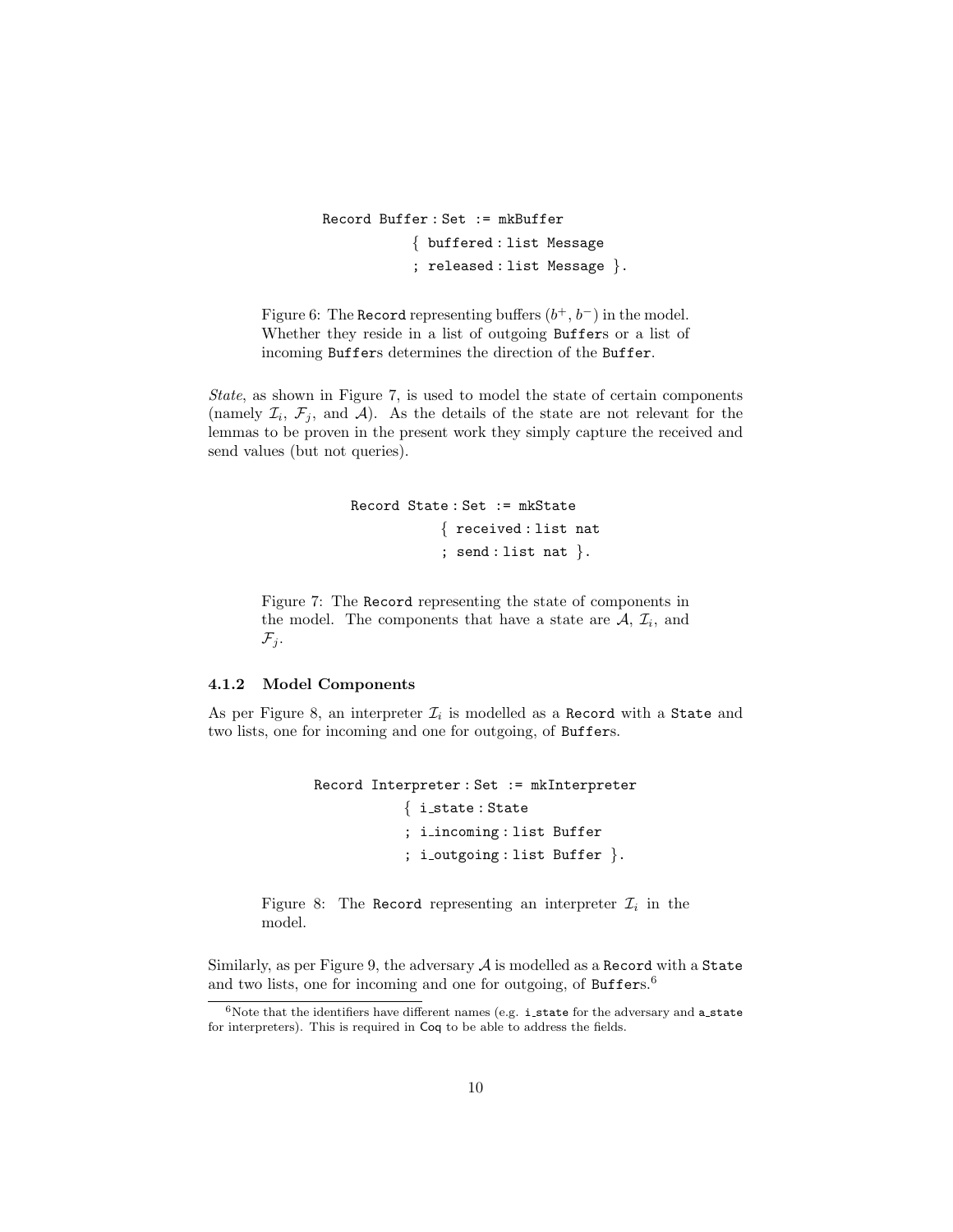<span id="page-9-0"></span>Record Buffer : Set := mkBuffer { buffered : list Message ; released : list Message }.

Figure 6: The Record representing buffers  $(b^+, b^-)$  in the model. Whether they reside in a list of outgoing Buffers or a list of incoming Buffers determines the direction of the Buffer.

<span id="page-9-1"></span>State, as shown in Figure [7,](#page-9-1) is used to model the state of certain components (namely  $\mathcal{I}_i$ ,  $\mathcal{F}_j$ , and  $\mathcal{A}$ ). As the details of the state are not relevant for the lemmas to be proven in the present work they simply capture the received and send values (but not queries).

```
Record State : Set := mkState
            { received : list nat
            ; send : list nat }.
```
Figure 7: The Record representing the state of components in the model. The components that have a state are  $A, \mathcal{I}_i$ , and  $\mathcal{F}_i$ .

#### 4.1.2 Model Components

<span id="page-9-2"></span>As per Figure [8,](#page-9-2) an interpreter  $\mathcal{I}_i$  is modelled as a Record with a State and two lists, one for incoming and one for outgoing, of Buffers.

```
Record Interpreter : Set := mkInterpreter
            { i state : State
            ; i incoming : list Buffer
            ; i outgoing : list Buffer }.
```
Figure 8: The Record representing an interpreter  $\mathcal{I}_i$  in the model.

Similarly, as per Figure [9,](#page-10-0) the adversary  $A$  is modelled as a Record with a State and two lists, one for incoming and one for outgoing, of Buffers.<sup>[6](#page-9-3)</sup>

<span id="page-9-3"></span> $6$ Note that the identifiers have different names (e.g. i\_state for the adversary and a\_state for interpreters). This is required in Coq to be able to address the fields.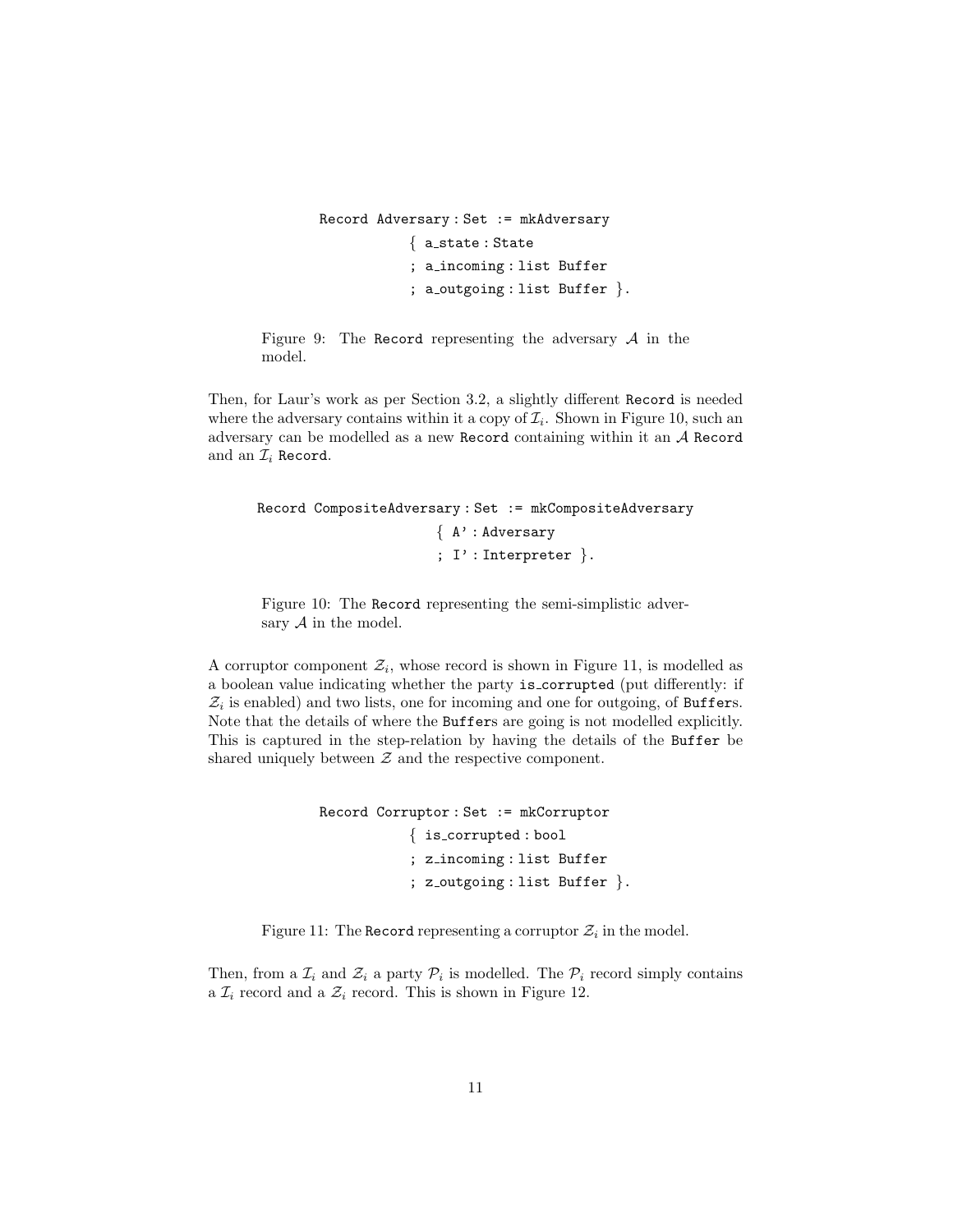```
Record Adversary : Set := mkAdversary
            { a state : State
            ; a incoming : list Buffer
            ; a outgoing : list Buffer \}.
```
Figure 9: The Record representing the adversary  $A$  in the model.

Then, for Laur's work as per Section [3.2,](#page-2-1) a slightly different Record is needed where the adversary contains within it a copy of  $\mathcal{I}_i$ . Shown in Figure [10,](#page-10-1) such an adversary can be modelled as a new Record containing within it an A Record and an  $\mathcal{I}_i$  Record.

```
Record CompositeAdversary : Set := mkCompositeAdversary
                       { A' : Adversary
                       ; I' : Interpreter \}.
```
Figure 10: The Record representing the semi-simplistic adversary  $A$  in the model.

A corruptor component  $\mathcal{Z}_i$ , whose record is shown in Figure [11,](#page-10-2) is modelled as a boolean value indicating whether the party is corrupted (put differently: if  $\mathcal{Z}_i$  is enabled) and two lists, one for incoming and one for outgoing, of Buffers. Note that the details of where the Buffers are going is not modelled explicitly. This is captured in the step-relation by having the details of the Buffer be shared uniquely between  $Z$  and the respective component.

```
Record Corruptor : Set := mkCorruptor
            { is corrupted : bool
            ; z incoming : list Buffer
            ; z_outgoing : list Buffer \}.
```
Figure 11: The Record representing a corruptor  $\mathcal{Z}_i$  in the model.

Then, from a  $\mathcal{I}_i$  and  $\mathcal{Z}_i$  a party  $\mathcal{P}_i$  is modelled. The  $\mathcal{P}_i$  record simply contains a  $\mathcal{I}_i$  record and a  $\mathcal{Z}_i$  record. This is shown in Figure [12.](#page-11-0)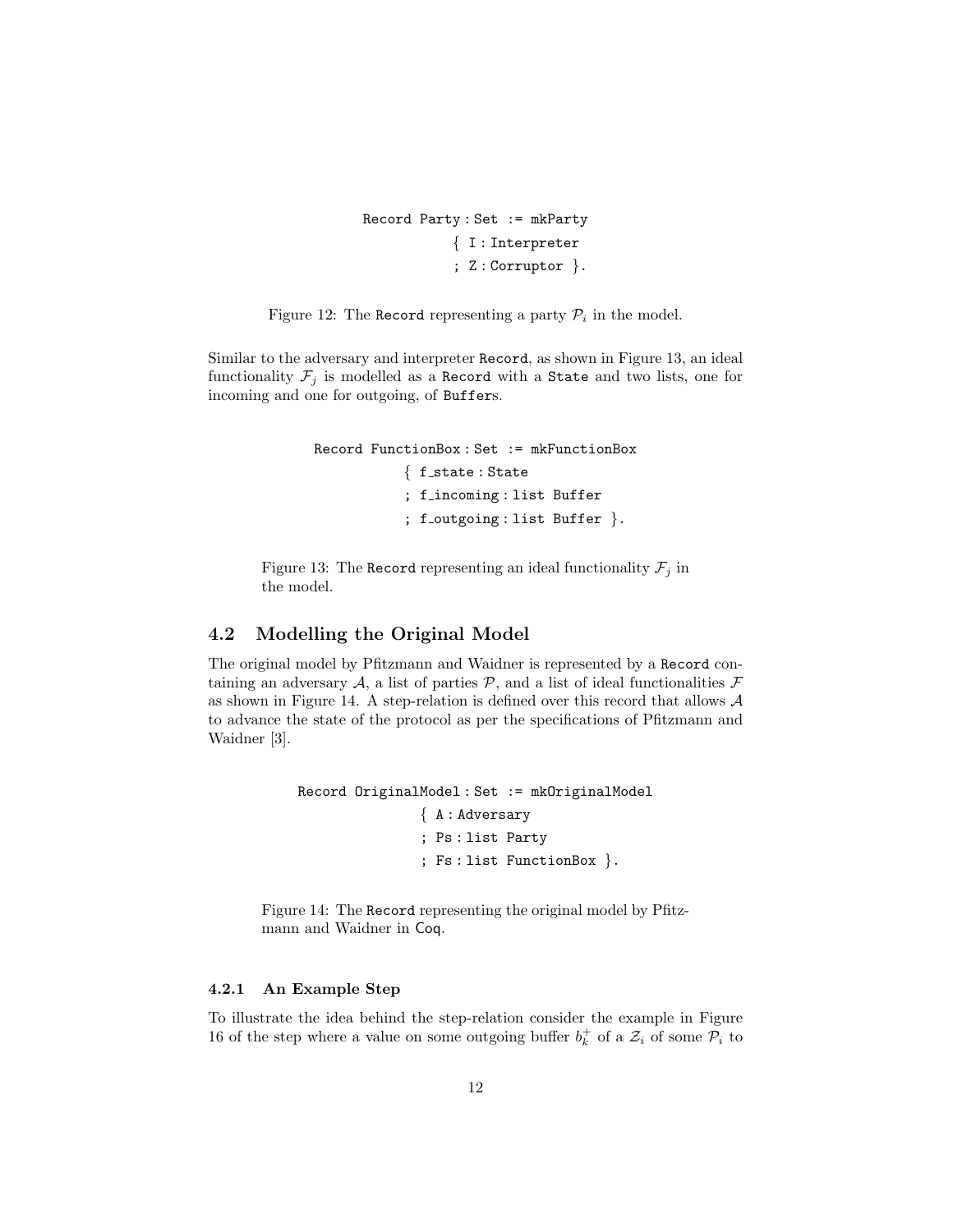```
Record Party : Set := mkParty
            { I : Interpreter
            ; Z : Corruptor }.
```
<span id="page-11-0"></span>Figure 12: The Record representing a party  $P_i$  in the model.

<span id="page-11-1"></span>Similar to the adversary and interpreter Record, as shown in Figure [13,](#page-11-1) an ideal functionality  $\mathcal{F}_j$  is modelled as a Record with a State and two lists, one for incoming and one for outgoing, of Buffers.

```
Record FunctionBox : Set := mkFunctionBox
            \{ f_state : State
            ; f incoming : list Buffer
            ; f_outgoing : list Buffer \}.
```
Figure 13: The Record representing an ideal functionality  $\mathcal{F}_j$  in the model.

## 4.2 Modelling the Original Model

The original model by Pfitzmann and Waidner is represented by a Record containing an adversary A, a list of parties  $P$ , and a list of ideal functionalities  $\mathcal F$ as shown in Figure [14.](#page-11-2) A step-relation is defined over this record that allows A to advance the state of the protocol as per the specifications of Pfitzmann and Waidner [\[3\]](#page-25-0).

```
Record OriginalModel : Set := mkOriginalModel
                { A : Adversary
                ; Ps : list Party
                ; Fs : list FunctionBox }.
```
Figure 14: The Record representing the original model by Pfitzmann and Waidner in Coq.

### 4.2.1 An Example Step

To illustrate the idea behind the step-relation consider the example in Figure [16](#page-13-0) of the step where a value on some outgoing buffer  $b_k^+$  of a  $\mathcal{Z}_i$  of some  $\mathcal{P}_i$  to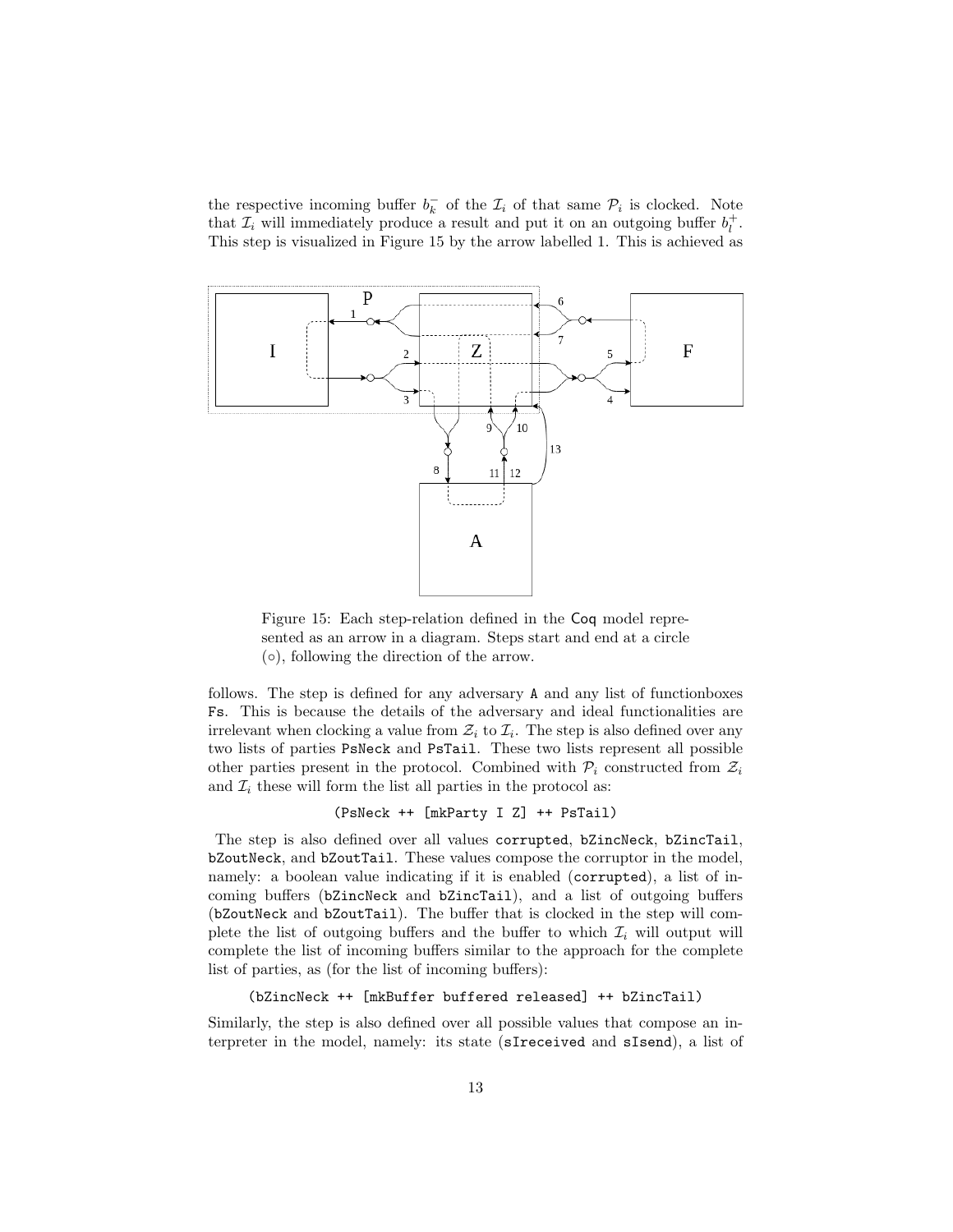the respective incoming buffer  $b_k^-$  of the  $\mathcal{I}_i$  of that same  $\mathcal{P}_i$  is clocked. Note that  $\mathcal{I}_i$  will immediately produce a result and put it on an outgoing buffer  $b_l^+$ . This step is visualized in Figure [15](#page-12-0) by the arrow labelled 1. This is achieved as

<span id="page-12-0"></span>

Figure 15: Each step-relation defined in the Coq model represented as an arrow in a diagram. Steps start and end at a circle  $( \circ )$ , following the direction of the arrow.

follows. The step is defined for any adversary A and any list of functionboxes Fs. This is because the details of the adversary and ideal functionalities are irrelevant when clocking a value from  $\mathcal{Z}_i$  to  $\mathcal{I}_i$ . The step is also defined over any two lists of parties PsNeck and PsTail. These two lists represent all possible other parties present in the protocol. Combined with  $\mathcal{P}_i$  constructed from  $\mathcal{Z}_i$ and  $\mathcal{I}_i$  these will form the list all parties in the protocol as:

(PsNeck ++ [mkParty I Z] ++ PsTail)

The step is also defined over all values corrupted, bZincNeck, bZincTail, bZoutNeck, and bZoutTail. These values compose the corruptor in the model, namely: a boolean value indicating if it is enabled (corrupted), a list of incoming buffers (bZincNeck and bZincTail), and a list of outgoing buffers (bZoutNeck and bZoutTail). The buffer that is clocked in the step will complete the list of outgoing buffers and the buffer to which  $\mathcal{I}_i$  will output will complete the list of incoming buffers similar to the approach for the complete list of parties, as (for the list of incoming buffers):

```
(bZincNeck ++ [mkBuffer buffered released] ++ bZincTail)
```
Similarly, the step is also defined over all possible values that compose an interpreter in the model, namely: its state (sIreceived and sIsend), a list of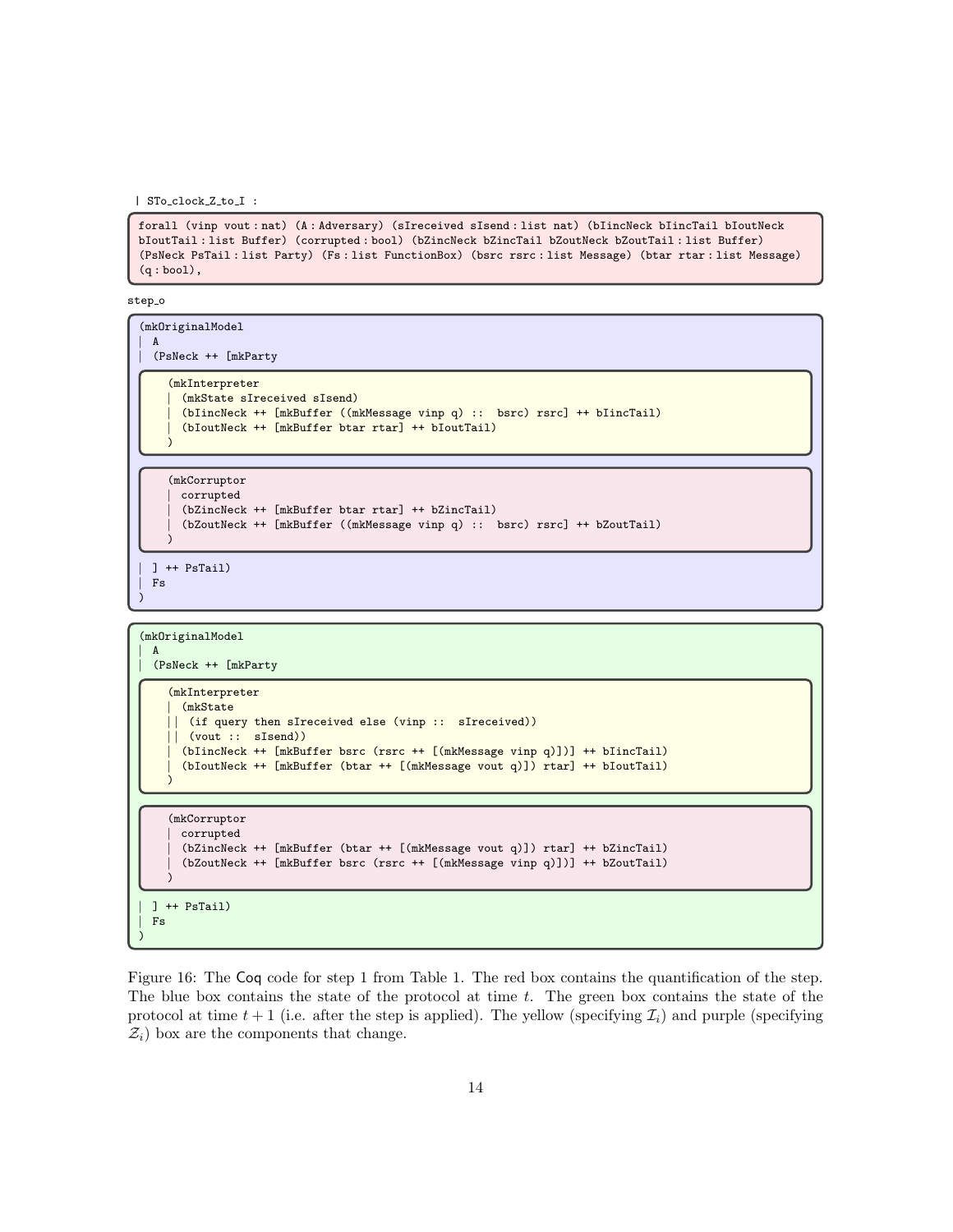<span id="page-13-0"></span>| STo clock Z to I :

forall (vinp vout : nat) (A : Adversary) (sIreceived sIsend : list nat) (bIincNeck bIincTail bIoutNeck bIoutTail : list Buffer) (corrupted : bool) (bZincNeck bZincTail bZoutNeck bZoutTail : list Buffer) (PsNeck PsTail : list Party) (Fs : list FunctionBox) (bsrc rsrc : list Message) (btar rtar : list Message) (q : bool),

step\_o

(mkOriginalModel | A | (PsNeck ++ [mkParty (mkInterpreter | (mkState sIreceived sIsend) | (bIincNeck ++ [mkBuffer ((mkMessage vinp q) :: bsrc) rsrc] ++ bIincTail) | (bIoutNeck ++ [mkBuffer btar rtar] ++ bIoutTail) ) (mkCorruptor | corrupted | (bZincNeck ++ [mkBuffer btar rtar] ++ bZincTail) | (bZoutNeck ++ [mkBuffer ((mkMessage vinp q) :: bsrc) rsrc] ++ bZoutTail) ) | ] ++ PsTail) | Fs

```
(mkOriginalModel
```
)

 $\mathbf{A}$ 

| (PsNeck ++ [mkParty

```
(mkInterpreter
  | (mkState
   (if query then sIreceived else (vinp :: sIreceived))
  (vout :: sIsend))| (bIincNeck ++ [mkBuffer bsrc (rsrc ++ [(mkMessage vinp q)])] ++ bIincTail)
  | (bIoutNeck ++ [mkBuffer (btar ++ [(mkMessage vout q)]) rtar] ++ bIoutTail)
)
```
## (mkCorruptor | corrupted | (bZincNeck ++ [mkBuffer (btar ++ [(mkMessage vout q)]) rtar] ++ bZincTail) | (bZoutNeck ++ [mkBuffer bsrc (rsrc ++ [(mkMessage vinp q)])] ++ bZoutTail) )

| ] ++ PsTail)  $Fs$ 

)

Figure 16: The Coq code for step 1 from Table [1.](#page-14-0) The red box contains the quantification of the step. The blue box contains the state of the protocol at time t. The green box contains the state of the protocol at time  $t + 1$  (i.e. after the step is applied). The yellow (specifying  $\mathcal{I}_i$ ) and purple (specifying  $\mathcal{Z}_i$ ) box are the components that change.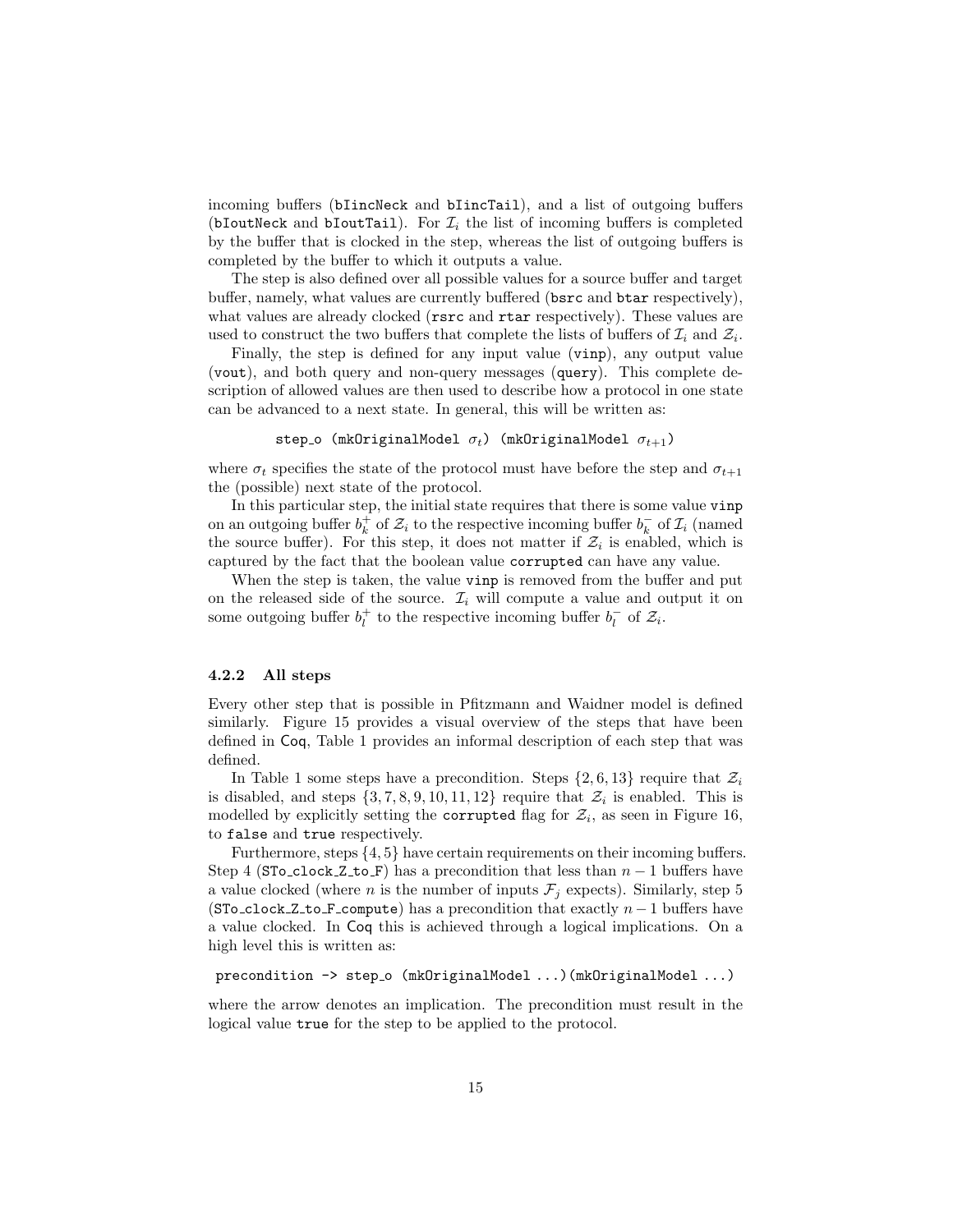incoming buffers (bIincNeck and bIincTail), and a list of outgoing buffers (bIoutNeck and bIoutTail). For  $\mathcal{I}_i$  the list of incoming buffers is completed by the buffer that is clocked in the step, whereas the list of outgoing buffers is completed by the buffer to which it outputs a value.

The step is also defined over all possible values for a source buffer and target buffer, namely, what values are currently buffered (bsrc and btar respectively), what values are already clocked (rsrc and rtar respectively). These values are used to construct the two buffers that complete the lists of buffers of  $\mathcal{I}_i$  and  $\mathcal{Z}_i$ .

Finally, the step is defined for any input value (vinp), any output value (vout), and both query and non-query messages (query). This complete description of allowed values are then used to describe how a protocol in one state can be advanced to a next state. In general, this will be written as:

```
step o (mkOriginalModel \sigma_t) (mkOriginalModel \sigma_{t+1})
```
where  $\sigma_t$  specifies the state of the protocol must have before the step and  $\sigma_{t+1}$ the (possible) next state of the protocol.

In this particular step, the initial state requires that there is some value vinp on an outgoing buffer  $b_k^+$  of  $\mathcal{Z}_i$  to the respective incoming buffer  $b_k^-$  of  $\mathcal{I}_i$  (named the source buffer). For this step, it does not matter if  $\mathcal{Z}_i$  is enabled, which is captured by the fact that the boolean value corrupted can have any value.

When the step is taken, the value vinp is removed from the buffer and put on the released side of the source.  $\mathcal{I}_i$  will compute a value and output it on some outgoing buffer  $b_l^+$  to the respective incoming buffer  $b_l^-$  of  $\mathcal{Z}_i$ .

### <span id="page-14-1"></span>4.2.2 All steps

Every other step that is possible in Pfitzmann and Waidner model is defined similarly. Figure [15](#page-12-0) provides a visual overview of the steps that have been defined in Coq, Table [1](#page-14-0) provides an informal description of each step that was defined.

In Table [1](#page-14-0) some steps have a precondition. Steps  $\{2, 6, 13\}$  require that  $\mathcal{Z}_i$ is disabled, and steps  $\{3, 7, 8, 9, 10, 11, 12\}$  require that  $\mathcal{Z}_i$  is enabled. This is modelled by explicitly setting the corrupted flag for  $\mathcal{Z}_i$ , as seen in Figure [16,](#page-13-0) to false and true respectively.

Furthermore, steps  $\{4, 5\}$  have certain requirements on their incoming buffers. Step 4 (STo\_clock\_Z\_to\_F) has a precondition that less than  $n-1$  buffers have a value clocked (where *n* is the number of inputs  $\mathcal{F}_j$  expects). Similarly, step 5 (STo\_clock\_Z\_to\_F\_compute) has a precondition that exactly  $n-1$  buffers have a value clocked. In Coq this is achieved through a logical implications. On a high level this is written as:

```
precondition \rightarrow step_o (mkOriginalModel ...)(mkOriginalModel ...)
```
<span id="page-14-0"></span>where the arrow denotes an implication. The precondition must result in the logical value true for the step to be applied to the protocol.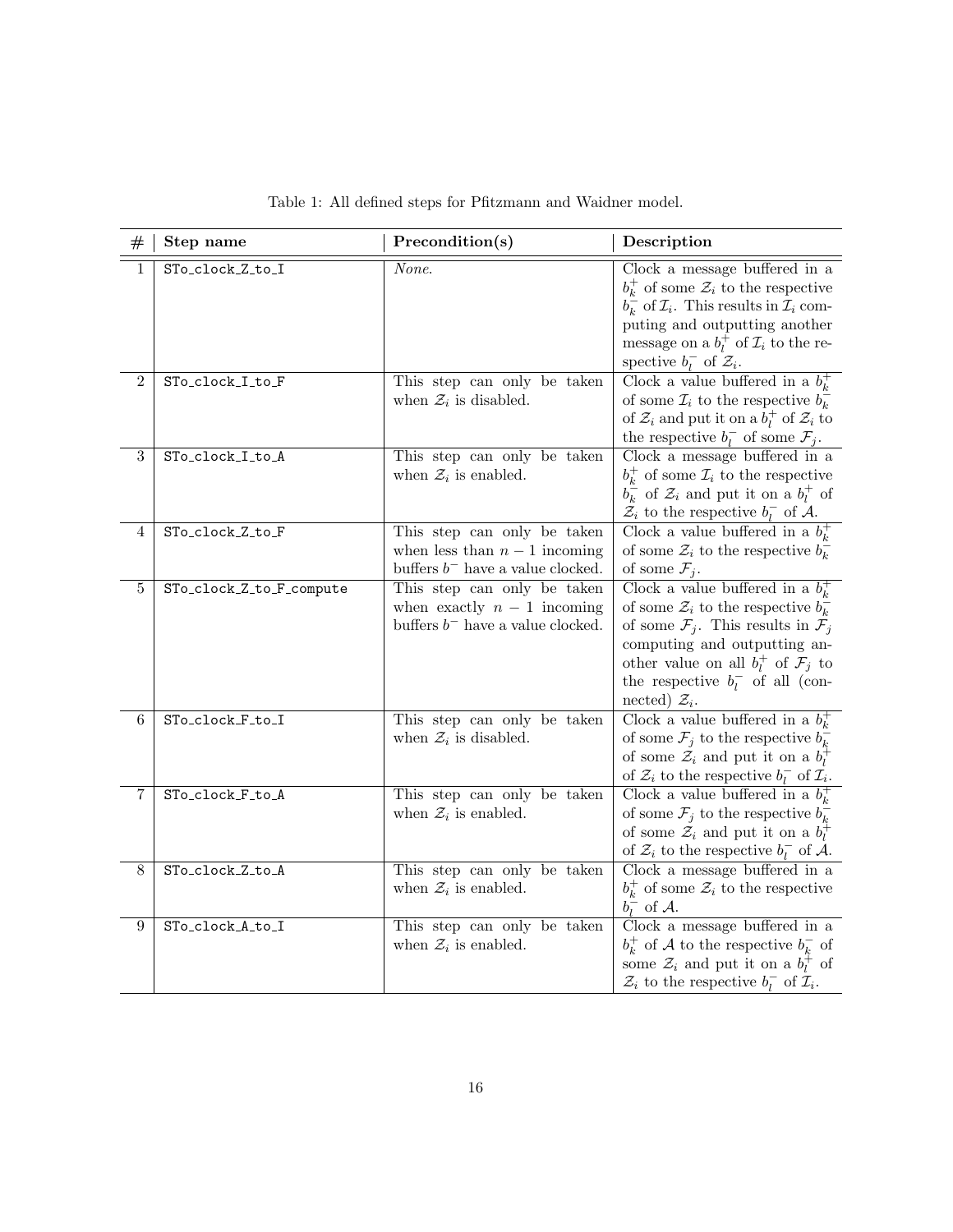| #            | Step name                | Precondition(s)                                                                                     | Description                                                                                                                                                                                                                                                                                                   |
|--------------|--------------------------|-----------------------------------------------------------------------------------------------------|---------------------------------------------------------------------------------------------------------------------------------------------------------------------------------------------------------------------------------------------------------------------------------------------------------------|
| 1            | STo_clock_Z_to_I         | None.                                                                                               | Clock a message buffered in a<br>$b_k^+$ of some $\mathcal{Z}_i$ to the respective<br>$b_k^-$ of $\mathcal{I}_i$ . This results in $\mathcal{I}_i$ com-<br>puting and outputting another<br>message on a $b_l^+$ of $\mathcal{I}_i$ to the re-<br>spective $b_l^-$ of $\mathcal{Z}_i$ .                       |
| $\mathbf{2}$ | STo_clock_I_to_F         | This step can only be taken<br>when $\mathcal{Z}_i$ is disabled.                                    | Clock a value buffered in a $bk+$<br>of some $\mathcal{I}_i$ to the respective $b_k^-$<br>of $\mathcal{Z}_i$ and put it on a $b_l^+$ of $\mathcal{Z}_i$ to<br>the respective $b_l^-$ of some $\mathcal{F}_j$ .                                                                                                |
| 3            | STo_clock_I_to_A         | This step can only be taken<br>when $\mathcal{Z}_i$ is enabled.                                     | Clock a message buffered in a<br>$b_k^+$ of some $\mathcal{I}_i$ to the respective<br>$b_k^-$ of $\mathcal{Z}_i$ and put it on a $b_l^+$ of<br>$\mathcal{Z}_i$ to the respective $b_l^-$ of A.                                                                                                                |
| 4            | STo_clock_Z_to_F         | This step can only be taken<br>when less than $n-1$ incoming<br>buffers $b^-$ have a value clocked. | Clock a value buffered in a $b_k^+$<br>of some $\mathcal{Z}_i$ to the respective $b_k^-$<br>of some $\mathcal{F}_j$ .                                                                                                                                                                                         |
| 5            | STo_clock_Z_to_F_compute | This step can only be taken<br>when exactly $n-1$ incoming<br>buffers $b^-$ have a value clocked.   | Clock a value buffered in a $b_k^+$<br>of some $\mathcal{Z}_i$ to the respective $b_k^-$<br>of some $\mathcal{F}_j$ . This results in $\mathcal{F}_j$<br>computing and outputting an-<br>other value on all $b_i^+$ of $\mathcal{F}_j$ to<br>the respective $b_l^-$ of all (con-<br>nected) $\mathcal{Z}_i$ . |
| 6            | STo_clock_F_to_I         | This step can only be taken<br>when $\mathcal{Z}_i$ is disabled.                                    | Clock a value buffered in a $b_k^+$<br>of some $\mathcal{F}_j$ to the respective $b_k^-$<br>of some $\mathcal{Z}_i$ and put it on a $b_l^+$<br>of $\mathcal{Z}_i$ to the respective $b_l^-$ of $\mathcal{I}_i$ .                                                                                              |
| 7            | STo_clock_F_to_A         | This step can only be taken<br>when $\mathcal{Z}_i$ is enabled.                                     | Clock a value buffered in a $b_k^+$<br>of some $\mathcal{F}_j$ to the respective $b_k^-$<br>of some $\mathcal{Z}_i$ and put it on a $b_l^+$<br>of $\mathcal{Z}_i$ to the respective $b_l^-$ of A.                                                                                                             |
| 8            | STo_clock_Z_to_A         | This step can only be taken<br>when $\mathcal{Z}_i$ is enabled.                                     | Clock a message buffered in a<br>$b_k^+$ of some $\mathcal{Z}_i$ to the respective<br>$b_l^-$ of A.                                                                                                                                                                                                           |
| 9            | STo_clock_A_to_I         | This step can only be taken<br>when $\mathcal{Z}_i$ is enabled.                                     | Clock a message buffered in a<br>$b_k^+$ of A to the respective $b_k^-$ of<br>some $\mathcal{Z}_i$ and put it on a $b_l^+$ of<br>$\mathcal{Z}_i$ to the respective $b_l^-$ of $\mathcal{I}_i$ .                                                                                                               |

Table 1: All defined steps for Pfitzmann and Waidner model.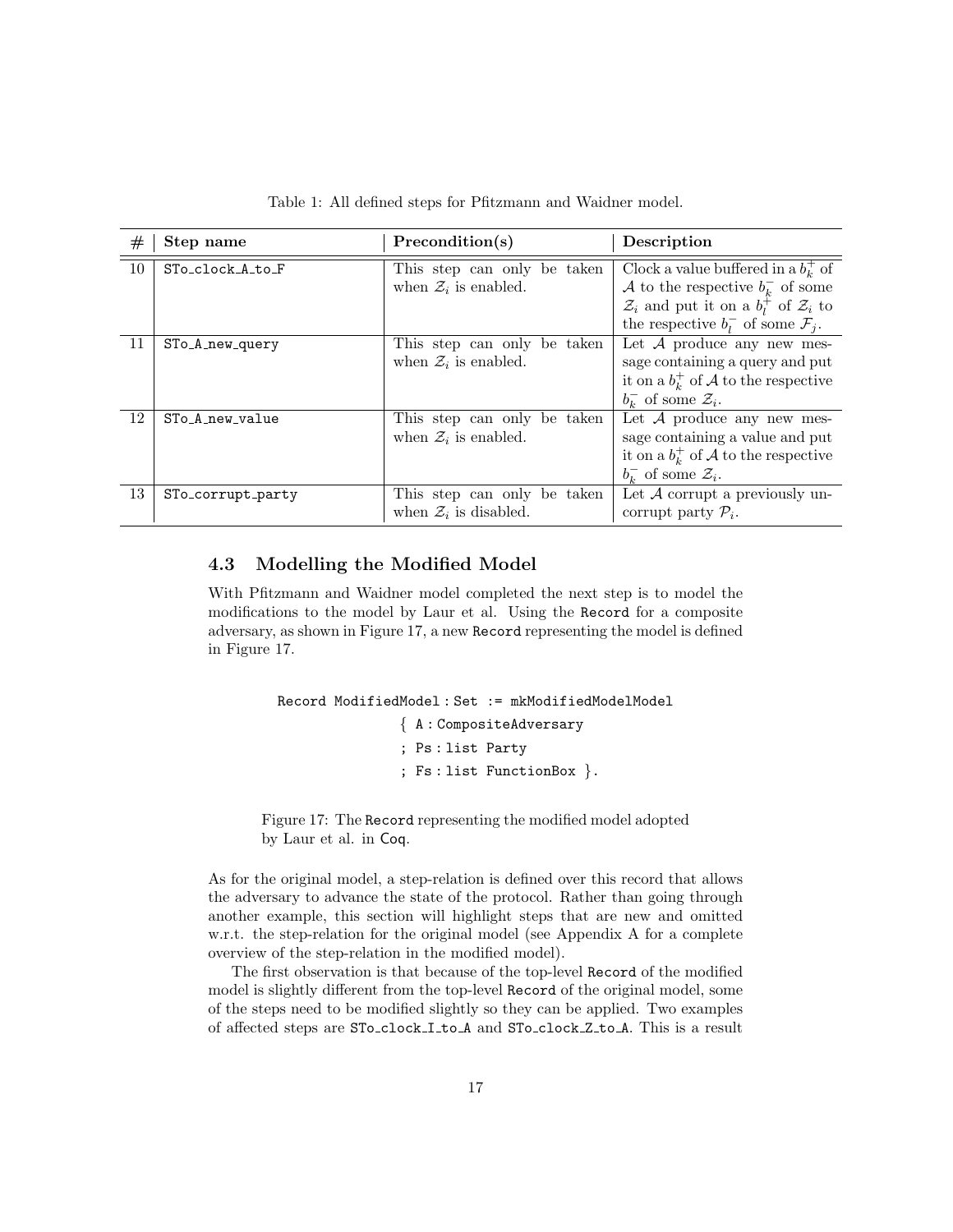| #  | Step name         | Precondition(s)                                                  | Description                                                                                                                                                                                              |
|----|-------------------|------------------------------------------------------------------|----------------------------------------------------------------------------------------------------------------------------------------------------------------------------------------------------------|
| 10 | STo_clock_A_to_F  | This step can only be taken<br>when $\mathcal{Z}_i$ is enabled.  | Clock a value buffered in a $bk+$ of<br>A to the respective $b_k^-$ of some<br>$\mathcal{Z}_i$ and put it on a $b_l^{\dagger}$ of $\mathcal{Z}_i$ to<br>the respective $b_i^-$ of some $\mathcal{F}_i$ . |
| 11 | STo_A_new_query   | This step can only be taken<br>when $\mathcal{Z}_i$ is enabled.  | Let $A$ produce any new mes-<br>sage containing a query and put<br>it on a $bk+$ of A to the respective<br>$b_{k}^-$ of some $\mathcal{Z}_i$ .                                                           |
| 12 | STo_A_new_value   | This step can only be taken<br>when $\mathcal{Z}_i$ is enabled.  | Let $A$ produce any new mes-<br>sage containing a value and put<br>it on a $bk+$ of A to the respective<br>$b_{\iota}^-$ of some $\mathcal{Z}_i$ .                                                       |
| 13 | STo_corrupt_party | This step can only be taken<br>when $\mathcal{Z}_i$ is disabled. | Let $A$ corrupt a previously un-<br>corrupt party $P_i$ .                                                                                                                                                |

Table 1: All defined steps for Pfitzmann and Waidner model.

## 4.3 Modelling the Modified Model

With Pfitzmann and Waidner model completed the next step is to model the modifications to the model by Laur et al. Using the Record for a composite adversary, as shown in Figure [17,](#page-16-0) a new Record representing the model is defined in Figure [17.](#page-16-0)

```
Record ModifiedModel : Set := mkModifiedModelModel
                { A : CompositeAdversary
                ; Ps : list Party
                ; Fs : list FunctionBox }.
```
Figure 17: The Record representing the modified model adopted by Laur et al. in Coq.

As for the original model, a step-relation is defined over this record that allows the adversary to advance the state of the protocol. Rather than going through another example, this section will highlight steps that are new and omitted w.r.t. the step-relation for the original model (see Appendix [A](#page-26-0) for a complete overview of the step-relation in the modified model).

The first observation is that because of the top-level Record of the modified model is slightly different from the top-level Record of the original model, some of the steps need to be modified slightly so they can be applied. Two examples of affected steps are STo clock I to A and STo clock Z to A. This is a result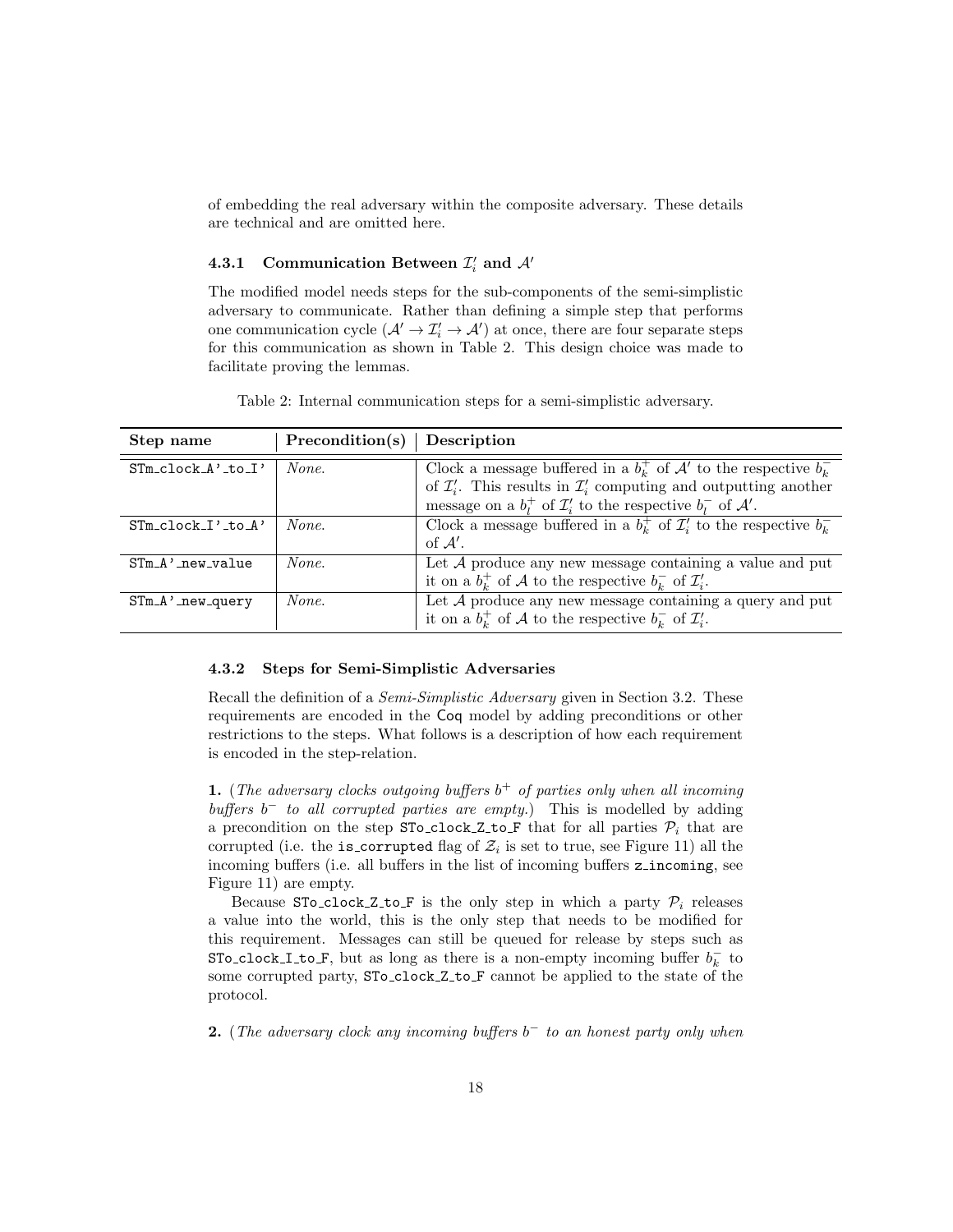of embedding the real adversary within the composite adversary. These details are technical and are omitted here.

# 4.3.1 Communication Between  $\mathcal{I}'_i$  and  $\mathcal{A}'$

The modified model needs steps for the sub-components of the semi-simplistic adversary to communicate. Rather than defining a simple step that performs one communication cycle  $(\mathcal{A}' \to \mathcal{I}'_i \to \mathcal{A}')$  at once, there are four separate steps for this communication as shown in Table [2.](#page-17-0) This design choice was made to facilitate proving the lemmas.

<span id="page-17-0"></span>Table 2: Internal communication steps for a semi-simplistic adversary.

| Step name                | Precondition(s) | Description                                                                             |
|--------------------------|-----------------|-----------------------------------------------------------------------------------------|
| $STm$ clock $A'$ to $I'$ | None.           | Clock a message buffered in a $b_k^+$ of $\mathcal{A}'$ to the respective $b_k^-$       |
|                          |                 | of $\mathcal{I}'_i$ . This results in $\mathcal{I}'_i$ computing and outputting another |
|                          |                 | message on a $b_l^+$ of $\mathcal{I}'_i$ to the respective $b_l^-$ of $\mathcal{A}'$ .  |
| $STM\_clock\_I'.to_A'$   | None.           | Clock a message buffered in a $b_k^+$ of $\mathcal{I}'_i$ to the respective $b_k^-$     |
|                          |                 | of $\mathcal{A}'$ .                                                                     |
| $STM_A$ ' new value      | None.           | Let ${\mathcal A}$ produce any new message containing a value and put                   |
|                          |                 | it on a $b_k^+$ of A to the respective $b_k^-$ of $\mathcal{I}'_i$ .                    |
| $STM_A$ ' new query      | None.           | Let $A$ produce any new message containing a query and put                              |
|                          |                 | it on a $b_k^+$ of A to the respective $b_k^-$ of $\mathcal{I}'_i$ .                    |

### 4.3.2 Steps for Semi-Simplistic Adversaries

Recall the definition of a *Semi-Simplistic Adversary* given in Section [3.2.](#page-2-1) These requirements are encoded in the Coq model by adding preconditions or other restrictions to the steps. What follows is a description of how each requirement is encoded in the step-relation.

**1.** (The adversary clocks outgoing buffers  $b^+$  of parties only when all incoming buffers  $b^-$  to all corrupted parties are empty.) This is modelled by adding a precondition on the step STo\_clock\_Z\_to\_F that for all parties  $P_i$  that are corrupted (i.e. the is\_corrupted flag of  $\mathcal{Z}_i$  is set to true, see Figure [11\)](#page-10-2) all the incoming buffers (i.e. all buffers in the list of incoming buffers z incoming, see Figure [11\)](#page-10-2) are empty.

Because STo\_clock\_Z\_to\_F is the only step in which a party  $\mathcal{P}_i$  releases a value into the world, this is the only step that needs to be modified for this requirement. Messages can still be queued for release by steps such as STo\_clock\_I\_to\_F, but as long as there is a non-empty incoming buffer  $b_k^-$  to some corrupted party,  $STo\_clock\_Z_to_F$  cannot be applied to the state of the protocol.

2. (The adversary clock any incoming buffers  $b^-$  to an honest party only when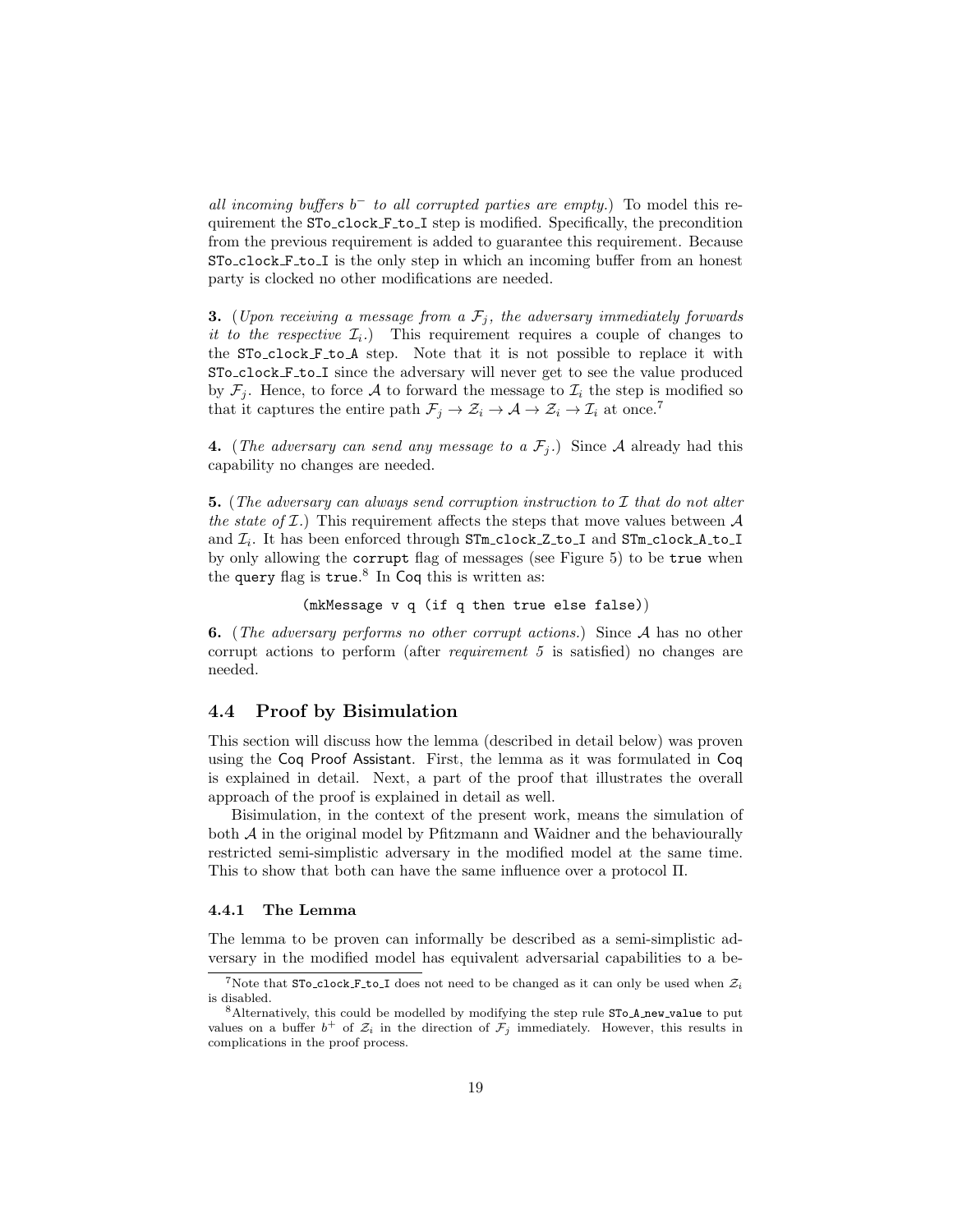all incoming buffers  $b^-$  to all corrupted parties are empty.) To model this requirement the STo\_clock F\_to\_I step is modified. Specifically, the precondition from the previous requirement is added to guarantee this requirement. Because STo clock F to I is the only step in which an incoming buffer from an honest party is clocked no other modifications are needed.

**3.** (Upon receiving a message from a  $\mathcal{F}_i$ , the adversary immediately forwards it to the respective  $\mathcal{I}_i$ .) This requirement requires a couple of changes to the STo clock F to A step. Note that it is not possible to replace it with STo clock F to I since the adversary will never get to see the value produced by  $\mathcal{F}_j$ . Hence, to force A to forward the message to  $\mathcal{I}_i$  the step is modified so that it captures the entire path  $\mathcal{F}_j \to \mathcal{Z}_i \to \mathcal{A} \to \mathcal{Z}_i \to \mathcal{I}_i$  at once.<sup>[7](#page-18-1)</sup>

4. (The adversary can send any message to a  $\mathcal{F}_i$ .) Since A already had this capability no changes are needed.

**5.** (The adversary can always send corruption instruction to  $\mathcal I$  that do not alter the state of  $\mathcal{I}$ .) This requirement affects the steps that move values between  $\mathcal{A}$ and  $\mathcal{I}_i$ . It has been enforced through STm\_clock\_Z\_to\_I and STm\_clock\_A\_to\_I by only allowing the corrupt flag of messages (see Figure [5\)](#page-8-0) to be true when the query flag is true.<sup>[8](#page-18-2)</sup> In Coq this is written as:

(mkMessage v q (if q then true else false))

6. (The adversary performs no other corrupt actions.) Since A has no other corrupt actions to perform (after requirement 5 is satisfied) no changes are needed.

### <span id="page-18-0"></span>4.4 Proof by Bisimulation

This section will discuss how the lemma (described in detail below) was proven using the Coq Proof Assistant. First, the lemma as it was formulated in Coq is explained in detail. Next, a part of the proof that illustrates the overall approach of the proof is explained in detail as well.

Bisimulation, in the context of the present work, means the simulation of both  $A$  in the original model by Pfitzmann and Waidner and the behaviourally restricted semi-simplistic adversary in the modified model at the same time. This to show that both can have the same influence over a protocol Π.

#### 4.4.1 The Lemma

The lemma to be proven can informally be described as a semi-simplistic adversary in the modified model has equivalent adversarial capabilities to a be-

<span id="page-18-1"></span><sup>&</sup>lt;sup>7</sup>Note that STo\_clock\_F\_to\_I does not need to be changed as it can only be used when  $\mathcal{Z}_i$ is disabled.

<span id="page-18-2"></span><sup>&</sup>lt;sup>8</sup> Alternatively, this could be modelled by modifying the step rule STo<sub>-A</sub> new value to put values on a buffer  $b^+$  of  $\mathcal{Z}_i$  in the direction of  $\mathcal{F}_j$  immediately. However, this results in complications in the proof process.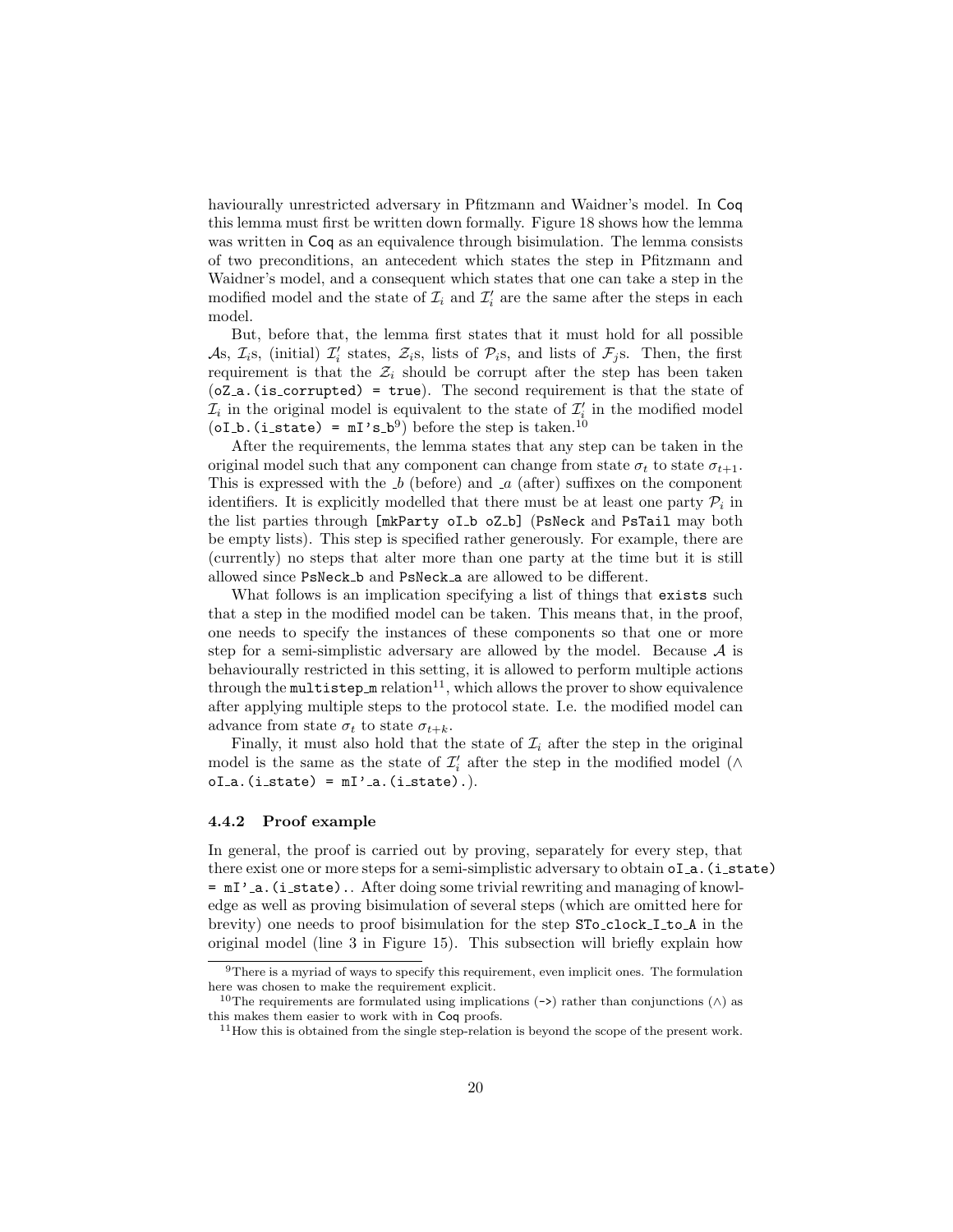haviourally unrestricted adversary in Pfitzmann and Waidner's model. In Coq this lemma must first be written down formally. Figure [18](#page-20-0) shows how the lemma was written in Coq as an equivalence through bisimulation. The lemma consists of two preconditions, an antecedent which states the step in Pfitzmann and Waidner's model, and a consequent which states that one can take a step in the modified model and the state of  $\mathcal{I}_i$  and  $\mathcal{I}'_i$  are the same after the steps in each model.

But, before that, the lemma first states that it must hold for all possible As,  $\mathcal{I}_{i}$ s, (initial)  $\mathcal{I}'_{i}$  states,  $\mathcal{Z}_{i}$ s, lists of  $\mathcal{P}_{i}$ s, and lists of  $\mathcal{F}_{j}$ s. Then, the first requirement is that the  $\mathcal{Z}_i$  should be corrupt after the step has been taken  $(oZ_a.$  (is corrupted) = true). The second requirement is that the state of  $\mathcal{I}_i$  in the original model is equivalent to the state of  $\mathcal{I}'_i$  in the modified model  $(oI_b. (i_{state}) = mI's_b^9)$  $(oI_b. (i_{state}) = mI's_b^9)$  $(oI_b. (i_{state}) = mI's_b^9)$  before the step is taken.<sup>[10](#page-19-1)</sup>

After the requirements, the lemma states that any step can be taken in the original model such that any component can change from state  $\sigma_t$  to state  $\sigma_{t+1}$ . This is expressed with the  $b$  (before) and  $a$  (after) suffixes on the component identifiers. It is explicitly modelled that there must be at least one party  $P_i$  in the list parties through [mkParty oI b oZ b] (PsNeck and PsTail may both be empty lists). This step is specified rather generously. For example, there are (currently) no steps that alter more than one party at the time but it is still allowed since PsNeck b and PsNeck a are allowed to be different.

What follows is an implication specifying a list of things that exists such that a step in the modified model can be taken. This means that, in the proof, one needs to specify the instances of these components so that one or more step for a semi-simplistic adversary are allowed by the model. Because  $A$  is behaviourally restricted in this setting, it is allowed to perform multiple actions through the multistep  $m$  relation<sup>[11](#page-19-2)</sup>, which allows the prover to show equivalence after applying multiple steps to the protocol state. I.e. the modified model can advance from state  $\sigma_t$  to state  $\sigma_{t+k}$ .

Finally, it must also hold that the state of  $\mathcal{I}_i$  after the step in the original model is the same as the state of  $\mathcal{I}'_i$  after the step in the modified model ( $\wedge$  $oI_a.$  $(i_state) = mI'.a.$  $(i_state).$ 

#### 4.4.2 Proof example

In general, the proof is carried out by proving, separately for every step, that there exist one or more steps for a semi-simplistic adversary to obtain  $oI_a$ . (i\_state)  $=$   $mI'$ <sub>-a</sub>.(i\_state).. After doing some trivial rewriting and managing of knowledge as well as proving bisimulation of several steps (which are omitted here for brevity) one needs to proof bisimulation for the step STo\_clock\_I\_to\_A in the original model (line 3 in Figure [15\)](#page-12-0). This subsection will briefly explain how

<span id="page-19-0"></span><sup>9</sup>There is a myriad of ways to specify this requirement, even implicit ones. The formulation here was chosen to make the requirement explicit.

<span id="page-19-1"></span><sup>&</sup>lt;sup>10</sup>The requirements are formulated using implications (->) rather than conjunctions ( $\wedge$ ) as this makes them easier to work with in Coq proofs.

<span id="page-19-2"></span> $11$  How this is obtained from the single step-relation is beyond the scope of the present work.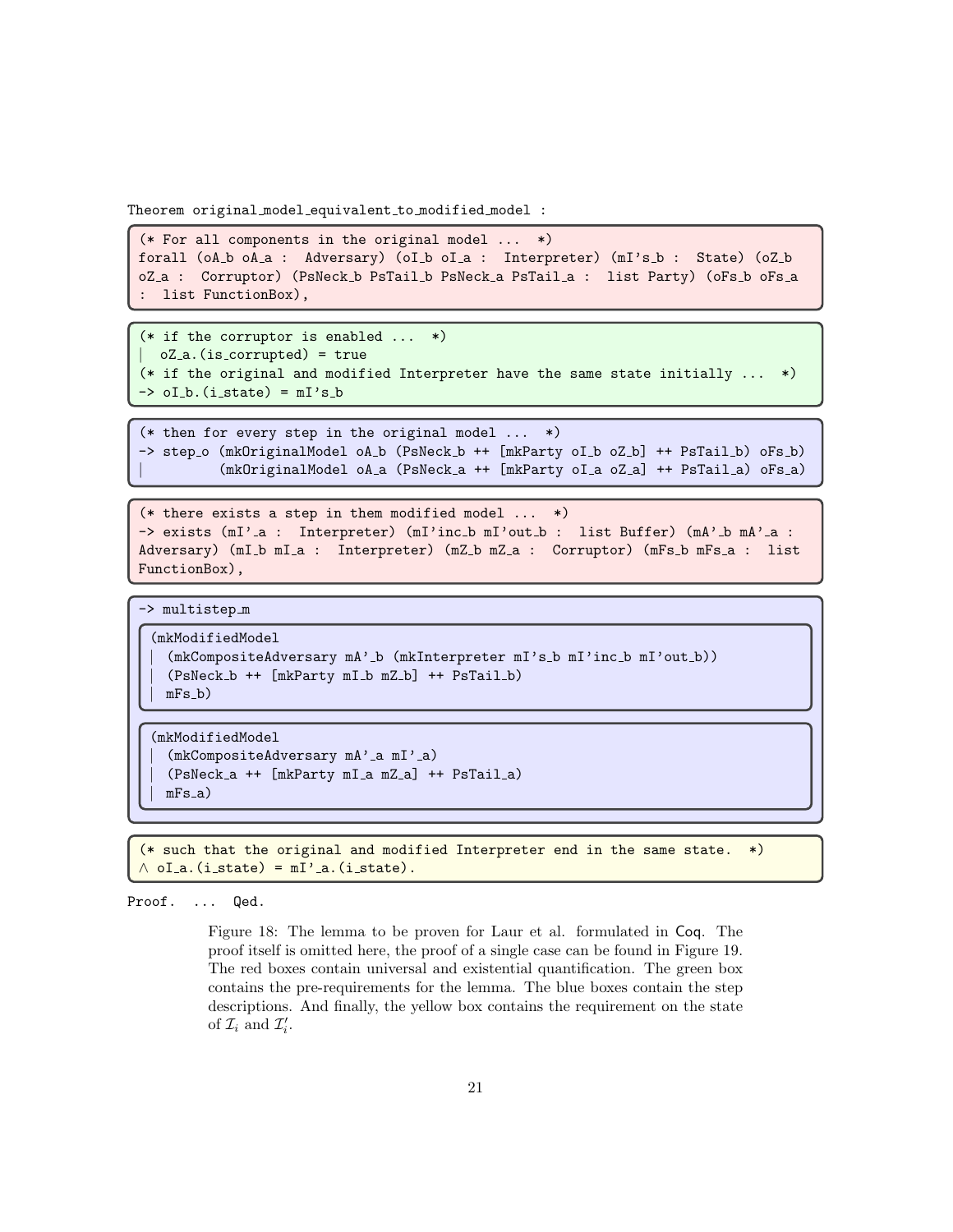Theorem original model equivalent to modified model :

```
(* For all components in the original model ... *)
forall (oA_b oA_a : Adversary) (oI_b oI_a : Interpreter) (mI's_b : State) (oZ_b
oZ_a : Corruptor) (PsNeck_b PsTail_b PsNeck_a PsTail_a : list Party) (oFs_b oFs_a
  list FunctionBox),
```

```
(* if the corruptor is enabled ... *)| oZ a.(is corrupted) = true
(* if the original and modified Interpreter have the same state initially ... *)
\rightarrow oI_b.(i_state) = mI's_b
```

```
(* then for every step in the original model ... *)
-> step o (mkOriginalModel oA b (PsNeck b ++ [mkParty oI b oZ b] ++ PsTail b) oFs b)
          | (mkOriginalModel oA a (PsNeck a ++ [mkParty oI a oZ a] ++ PsTail a) oFs a)
```

```
(* there exists a step in them modified model ... *)
-> exists (mI'_a : Interpreter) (mI'inc_b mI'out_b : list Buffer) (mA'_b mA'_a :
Adversary) (mI_b mI_a : Interpreter) (mZ_b mZ_a : Corruptor) (mFs_b mFs_a : list
FunctionBox),
```

```
-> multistep m
```

```
(mkModifiedModel
  | (mkCompositeAdversary mA' b (mkInterpreter mI's b mI'inc b mI'out b))
  | (PsNeck b ++ [mkParty mI b mZ b] ++ PsTail b)
 mFs_b)
```

```
(mkModifiedModel
  (mkCompositeAdversary mA'_a mI'_a)
  | (PsNeck a ++ [mkParty mI a mZ a] ++ PsTail a)
 mFs_a)
```
(\* such that the original and modified Interpreter end in the same state. \*)  $\land$  oI\_a.(i\_state) = mI'\_a.(i\_state).

Proof. ... Qed.

Figure 18: The lemma to be proven for Laur et al. formulated in Coq. The proof itself is omitted here, the proof of a single case can be found in Figure [19.](#page-21-0) The red boxes contain universal and existential quantification. The green box contains the pre-requirements for the lemma. The blue boxes contain the step descriptions. And finally, the yellow box contains the requirement on the state of  $\mathcal{I}_i$  and  $\mathcal{I}'_i$ .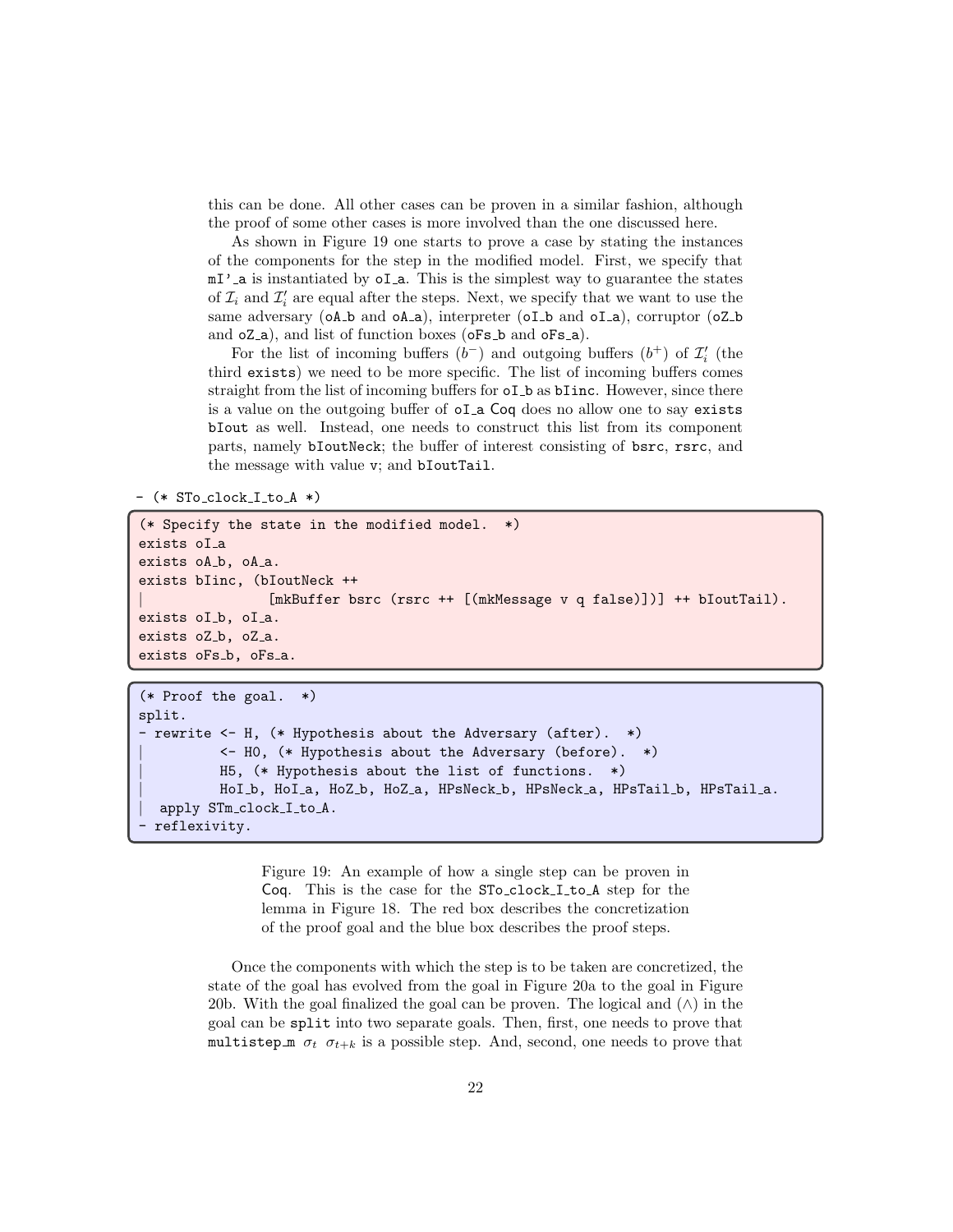this can be done. All other cases can be proven in a similar fashion, although the proof of some other cases is more involved than the one discussed here.

As shown in Figure [19](#page-21-0) one starts to prove a case by stating the instances of the components for the step in the modified model. First, we specify that  $mI'$  a is instantiated by  $oI_a$ . This is the simplest way to guarantee the states of  $\mathcal{I}_i$  and  $\mathcal{I}'_i$  are equal after the steps. Next, we specify that we want to use the same adversary (oA<sub>-</sub>b and oA<sub>-</sub>a), interpreter (oI<sub>-b</sub> and oI<sub>-a</sub>), corruptor (oZ<sub>-b</sub> and  $oZ_a$ , and list of function boxes ( $oFs_b$  and  $oFs_a$ ).

For the list of incoming buffers  $(b^-)$  and outgoing buffers  $(b^+)$  of  $\mathcal{I}'_i$  (the third exists) we need to be more specific. The list of incoming buffers comes straight from the list of incoming buffers for oI b as bIinc. However, since there is a value on the outgoing buffer of oI a Coq does no allow one to say exists bIout as well. Instead, one needs to construct this list from its component parts, namely bIoutNeck; the buffer of interest consisting of bsrc, rsrc, and the message with value v; and bIoutTail.

```
- (* STo clock I to A *)
```

```
(* Specify the state in the modified model. *)
exists oI a
exists oA_b, oA_a.
exists bIinc, (bIoutNeck ++
                 | [mkBuffer bsrc (rsrc ++ [(mkMessage v q false)])] ++ bIoutTail).
exists oI_b, oI_a.
exists oZ_b, oZ_a.
exists oFs_b, oFs_a.
```

```
(* Proof the goal. *)
split.
- rewrite <- H, (* Hypothesis about the Adversary (after). *)
          | <- H0, (* Hypothesis about the Adversary (before). *)
          | H5, (* Hypothesis about the list of functions. *)
          | HoI b, HoI a, HoZ b, HoZ a, HPsNeck b, HPsNeck a, HPsTail b, HPsTail a.
  apply STm_clock_I_to_A.
 reflexivity.
```
Figure 19: An example of how a single step can be proven in Coq. This is the case for the STo<sub>clock</sub> I<sub>to</sub> A step for the lemma in Figure [18.](#page-20-0) The red box describes the concretization of the proof goal and the blue box describes the proof steps.

Once the components with which the step is to be taken are concretized, the state of the goal has evolved from the goal in Figure [20a](#page-23-0) to the goal in Figure [20b.](#page-23-0) With the goal finalized the goal can be proven. The logical and  $(\wedge)$  in the goal can be split into two separate goals. Then, first, one needs to prove that multistep  $\pi$   $\sigma_t$   $\sigma_{t+k}$  is a possible step. And, second, one needs to prove that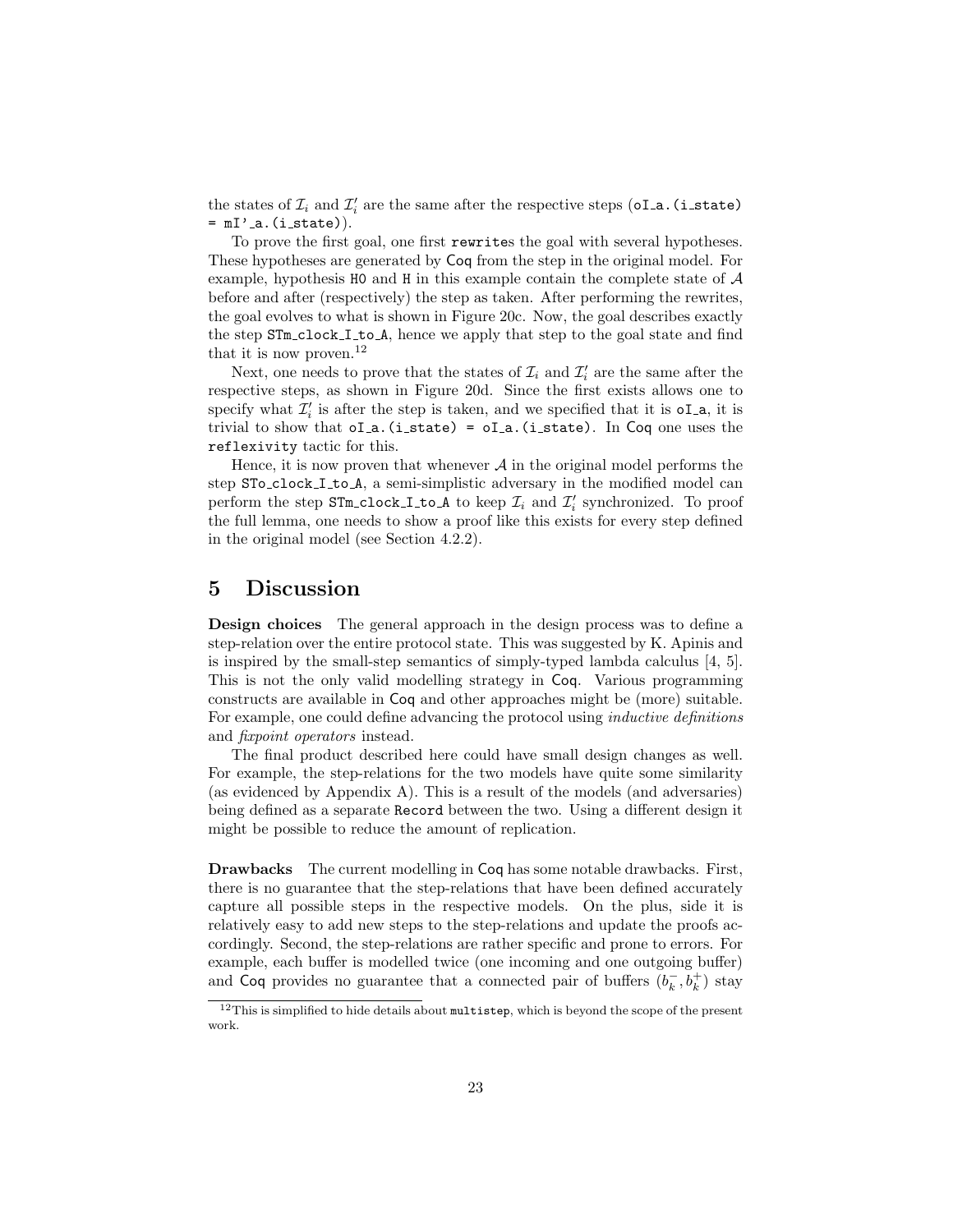the states of  $\mathcal{I}_i$  and  $\mathcal{I}'_i$  are the same after the respective steps (oI\_a.(i\_state)  $=$   $mI'_{a}.(i_{state})$ .

To prove the first goal, one first rewrites the goal with several hypotheses. These hypotheses are generated by Coq from the step in the original model. For example, hypothesis H0 and H in this example contain the complete state of  $\mathcal A$ before and after (respectively) the step as taken. After performing the rewrites, the goal evolves to what is shown in Figure [20c.](#page-23-0) Now, the goal describes exactly the step STm\_clock\_I\_to\_A, hence we apply that step to the goal state and find that it is now proven.<sup>[12](#page-22-1)</sup>

Next, one needs to prove that the states of  $\mathcal{I}_i$  and  $\mathcal{I}'_i$  are the same after the respective steps, as shown in Figure [20d.](#page-23-0) Since the first exists allows one to specify what  $\mathcal{I}'_i$  is after the step is taken, and we specified that it is  $oI_a$ , it is trivial to show that  $oI_a$ . (i\_state) =  $oI_a$ . (i\_state). In Coq one uses the reflexivity tactic for this.

Hence, it is now proven that whenever  $A$  in the original model performs the step STo clock I to A, a semi-simplistic adversary in the modified model can perform the step  $STm\_clock\_I\_to\_A$  to keep  $\mathcal{I}_i$  and  $\mathcal{I}'_i$  synchronized. To proof the full lemma, one needs to show a proof like this exists for every step defined in the original model (see Section [4.2.2\)](#page-14-1).

## <span id="page-22-0"></span>5 Discussion

Design choices The general approach in the design process was to define a step-relation over the entire protocol state. This was suggested by K. Apinis and is inspired by the small-step semantics of simply-typed lambda calculus [\[4,](#page-25-4) [5\]](#page-25-3). This is not the only valid modelling strategy in Coq. Various programming constructs are available in Coq and other approaches might be (more) suitable. For example, one could define advancing the protocol using inductive definitions and fixpoint operators instead.

The final product described here could have small design changes as well. For example, the step-relations for the two models have quite some similarity (as evidenced by Appendix [A\)](#page-26-0). This is a result of the models (and adversaries) being defined as a separate Record between the two. Using a different design it might be possible to reduce the amount of replication.

Drawbacks The current modelling in Coq has some notable drawbacks. First, there is no guarantee that the step-relations that have been defined accurately capture all possible steps in the respective models. On the plus, side it is relatively easy to add new steps to the step-relations and update the proofs accordingly. Second, the step-relations are rather specific and prone to errors. For example, each buffer is modelled twice (one incoming and one outgoing buffer) and Coq provides no guarantee that a connected pair of buffers  $(b_k^-, b_k^+)$  stay

<span id="page-22-1"></span> $12$ This is simplified to hide details about multistep, which is beyond the scope of the present work.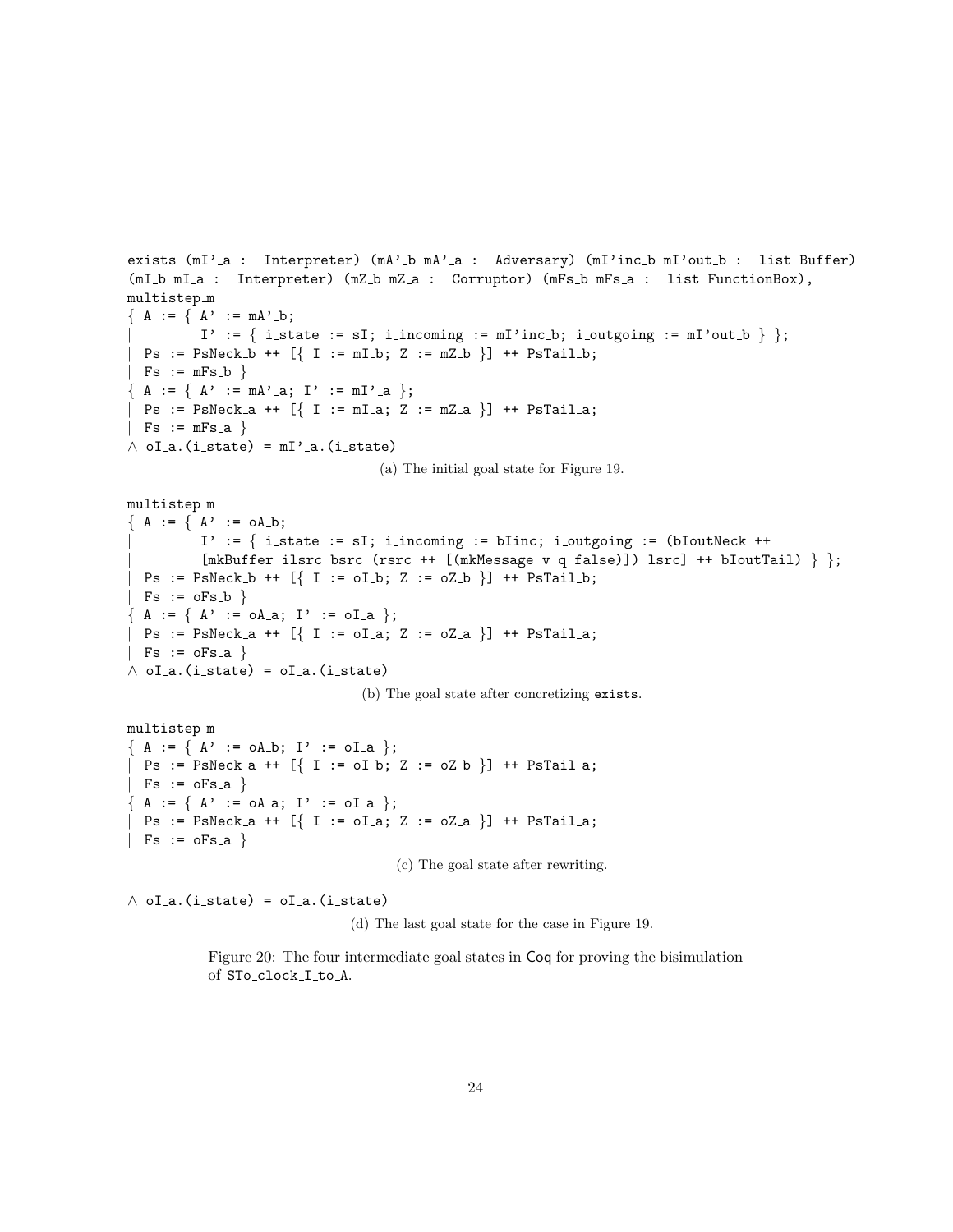```
exists (mI'_a : Interpreter) (mA'_b mA'_a : Adversary) (mI'inc_b mI'out_b : list Buffer)
(mI b mI a : Interpreter) (mZ b mZ a : Corruptor) (mFs b mFs a : list FunctionBox),
multistep m
{ A : = \{ A' : = mA' \_b \};I' := \{ i_state := sI; i_incoming := mI'inc_b; i_outgoing := mI'out_b \};
 Ps := PsNeck_b ++ [ { I := mI_b; Z := mZ_b } ] + PsTail_b;| Fs := mFs_b \}{ A := { A' : = mA'.a; I' := mI'.a } };Ps := PsNeck_a + f [ I := mI_a; Z := mZ_a ] + PsTail_a;| Fs := mFs_a \}\land ol_a.(i_state) = mI'_a.(i_state)
                                  (a) The initial goal state for Figure 19.
multistep m
{A := A' A' := \circ A_b;}I' := \{ i_state := sI; i_incoming := bIinc; i_outgoing := (bIoutNeck ++
          | [mkBuffer ilsrc bsrc (rsrc ++ [(mkMessage v q false)]) lsrc] ++ bIoutTail) } };
\text{Ps} := \text{PsNeck\_b} + \text{[} \{ I := oI_b; Z := oZ_b \} \text{++ PsTail\_b};| Fs := oFs_b \}{ A := { A' : = oA_a; I' := oI_a } };| Ps := PsNeck_a ++ [\{ I := oI_a; Z := oZ_a \}] ++ PsTail_a;
| Fs := oFs_a \}\land oI_a.(i_state) = oI_a.(i_state)
                                (b) The goal state after concretizing exists.
multistep m
```

```
{ A := { A' : = oA_b; I' := oI_a } };| Ps := PsNeck_a + f [{ I := oL_b; Z := oZ_b }] +f PsTail_a;
| Fs := oFs_a \}{ A := { A' : = oA_a; I' := oI_a } };| Ps := PsNeck_a ++ [\{ I := oI_a; Z := oZ_a \}] ++ PsTail_a;
| Fs := oFs_a \}
```
(c) The goal state after rewriting.

 $\land$  ola. (i\_state) = ola. (i\_state)

(d) The last goal state for the case in Figure [19.](#page-21-0)

Figure 20: The four intermediate goal states in Coq for proving the bisimulation of STo clock I to A.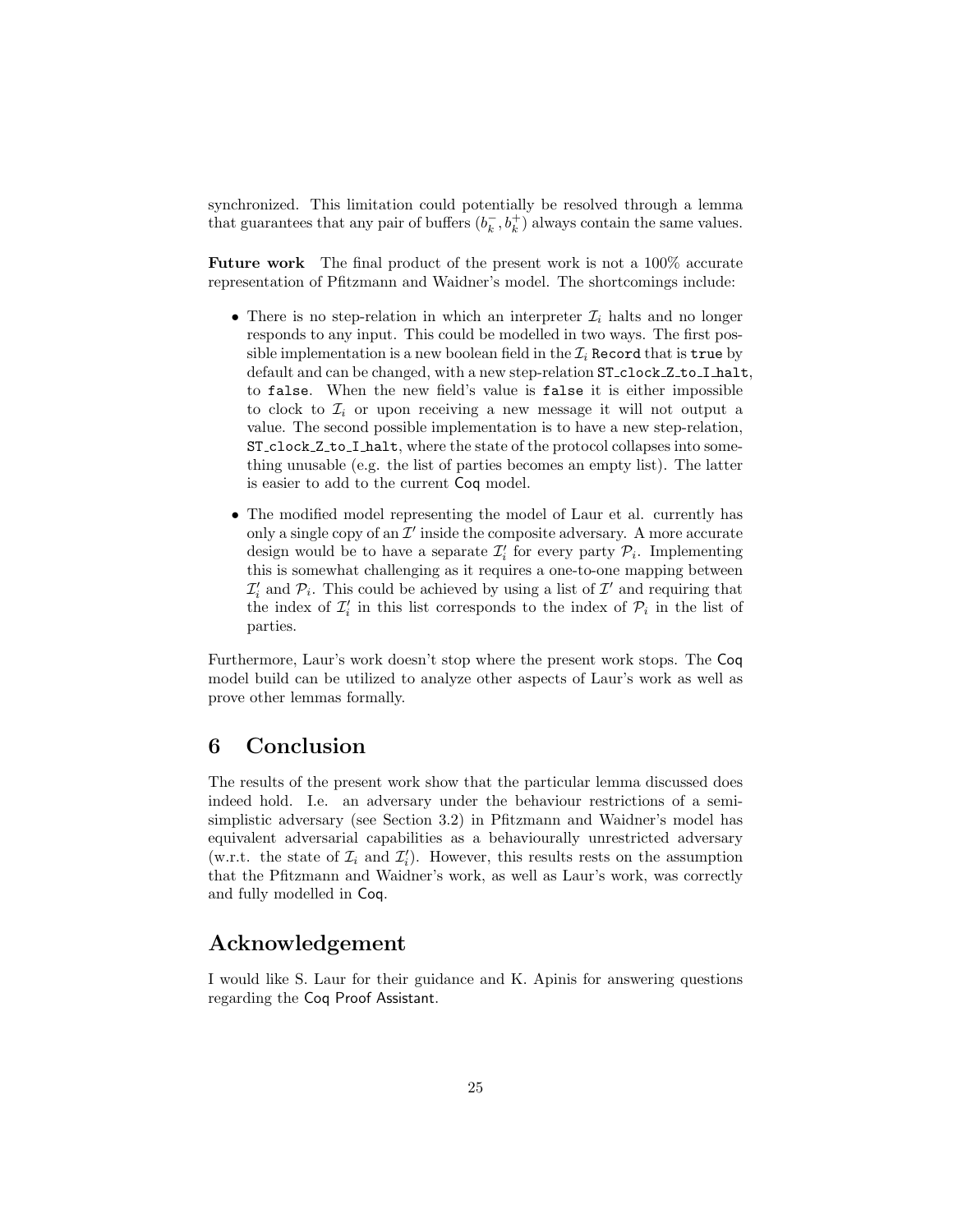synchronized. This limitation could potentially be resolved through a lemma that guarantees that any pair of buffers  $(b_k^-, b_k^+)$  always contain the same values.

Future work The final product of the present work is not a 100% accurate representation of Pfitzmann and Waidner's model. The shortcomings include:

- There is no step-relation in which an interpreter  $\mathcal{I}_i$  halts and no longer responds to any input. This could be modelled in two ways. The first possible implementation is a new boolean field in the  $\mathcal{I}_i$  Record that is true by default and can be changed, with a new step-relation  $ST\_clock\_Z_to\_I\_halt$ . to false. When the new field's value is false it is either impossible to clock to  $\mathcal{I}_i$  or upon receiving a new message it will not output a value. The second possible implementation is to have a new step-relation, ST clock Z to I halt, where the state of the protocol collapses into something unusable (e.g. the list of parties becomes an empty list). The latter is easier to add to the current Coq model.
- The modified model representing the model of Laur et al. currently has only a single copy of an  $\mathcal{I}'$  inside the composite adversary. A more accurate design would be to have a separate  $\mathcal{I}'_i$  for every party  $\mathcal{P}_i$ . Implementing this is somewhat challenging as it requires a one-to-one mapping between  $\mathcal{I}'_i$  and  $\mathcal{P}_i$ . This could be achieved by using a list of  $\mathcal{I}'$  and requiring that the index of  $\mathcal{I}'_i$  in this list corresponds to the index of  $\mathcal{P}_i$  in the list of parties.

Furthermore, Laur's work doesn't stop where the present work stops. The Coq model build can be utilized to analyze other aspects of Laur's work as well as prove other lemmas formally.

# <span id="page-24-0"></span>6 Conclusion

The results of the present work show that the particular lemma discussed does indeed hold. I.e. an adversary under the behaviour restrictions of a semisimplistic adversary (see Section [3.2\)](#page-2-1) in Pfitzmann and Waidner's model has equivalent adversarial capabilities as a behaviourally unrestricted adversary (w.r.t. the state of  $\mathcal{I}_i$  and  $\mathcal{I}'_i$ ). However, this results rests on the assumption that the Pfitzmann and Waidner's work, as well as Laur's work, was correctly and fully modelled in Coq.

# Acknowledgement

I would like S. Laur for their guidance and K. Apinis for answering questions regarding the Coq Proof Assistant.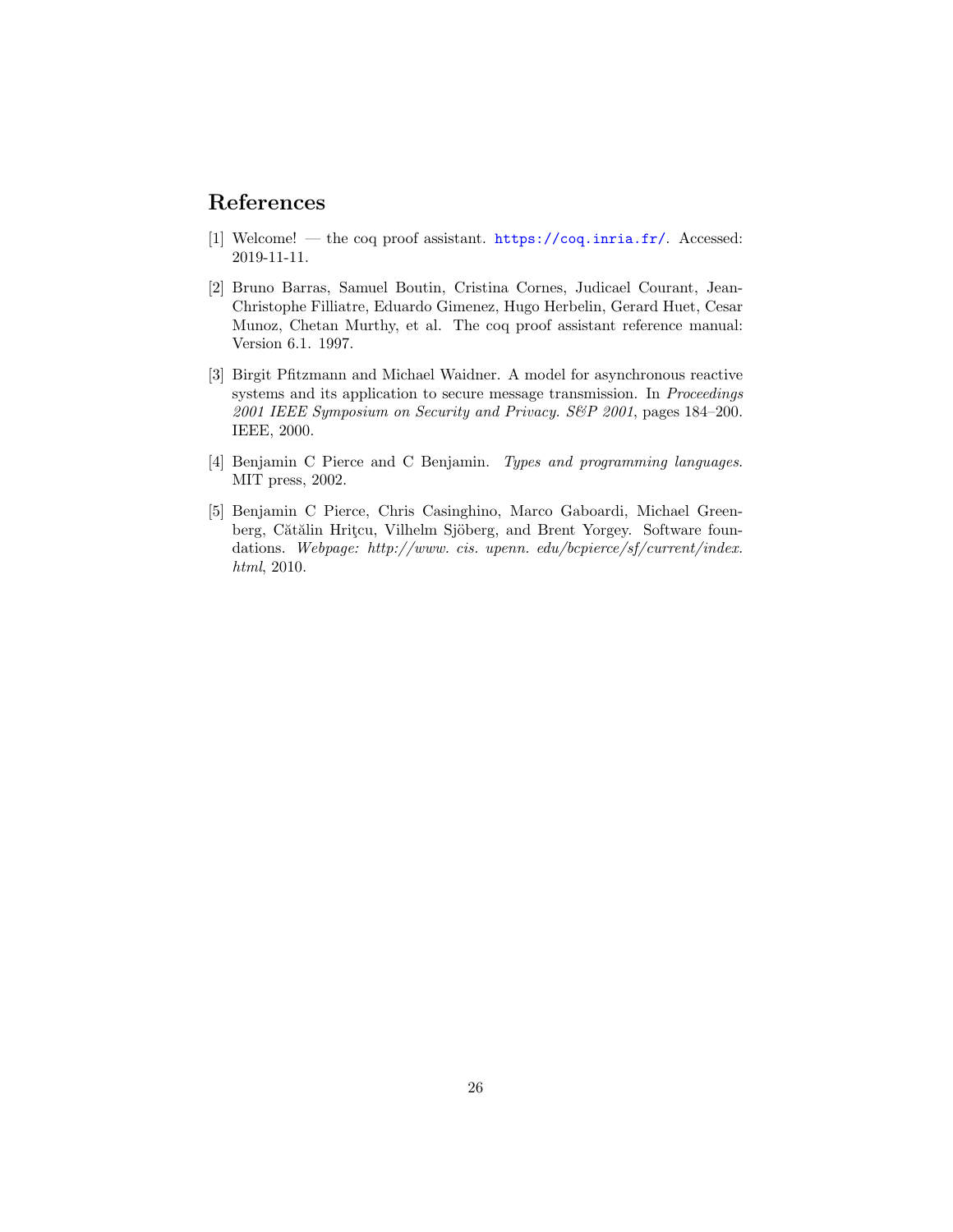# References

- <span id="page-25-2"></span>[1] Welcome! — the coq proof assistant. <https://coq.inria.fr/>. Accessed: 2019-11-11.
- <span id="page-25-1"></span>[2] Bruno Barras, Samuel Boutin, Cristina Cornes, Judicael Courant, Jean-Christophe Filliatre, Eduardo Gimenez, Hugo Herbelin, Gerard Huet, Cesar Munoz, Chetan Murthy, et al. The coq proof assistant reference manual: Version 6.1. 1997.
- <span id="page-25-0"></span>[3] Birgit Pfitzmann and Michael Waidner. A model for asynchronous reactive systems and its application to secure message transmission. In Proceedings 2001 IEEE Symposium on Security and Privacy. S&P 2001, pages 184–200. IEEE, 2000.
- <span id="page-25-4"></span>[4] Benjamin C Pierce and C Benjamin. Types and programming languages. MIT press, 2002.
- <span id="page-25-3"></span>[5] Benjamin C Pierce, Chris Casinghino, Marco Gaboardi, Michael Greenberg, Cătălin Hrițcu, Vilhelm Sjöberg, and Brent Yorgey. Software foundations. Webpage: http://www. cis. upenn. edu/bcpierce/sf/current/index. html, 2010.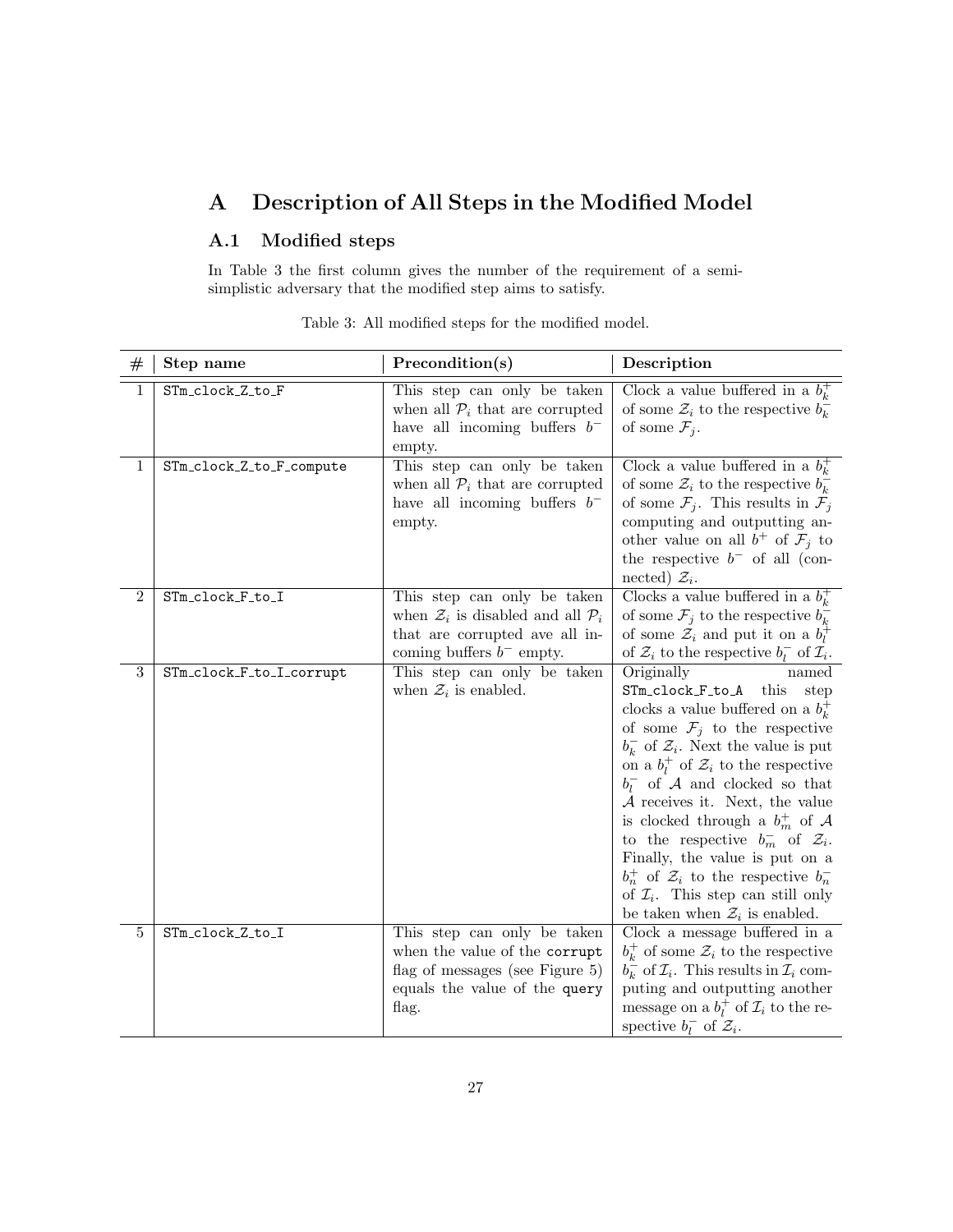# <span id="page-26-0"></span>A Description of All Steps in the Modified Model

# A.1 Modified steps

<span id="page-26-1"></span>In Table [3](#page-26-1) the first column gives the number of the requirement of a semisimplistic adversary that the modified step aims to satisfy.

| $^{\#}$        | Step name                | Precondition(s)                                                                                                                                          | Description                                                                                                                                                                                                                                                                                                                                                                                                                                                                                                                                                                                                 |
|----------------|--------------------------|----------------------------------------------------------------------------------------------------------------------------------------------------------|-------------------------------------------------------------------------------------------------------------------------------------------------------------------------------------------------------------------------------------------------------------------------------------------------------------------------------------------------------------------------------------------------------------------------------------------------------------------------------------------------------------------------------------------------------------------------------------------------------------|
| $\mathbf{1}$   | STm_clock_Z_to_F         | This step can only be taken<br>when all $\mathcal{P}_i$ that are corrupted<br>have all incoming buffers $b^-$<br>empty.                                  | Clock a value buffered in a $b_k^+$<br>of some $\mathcal{Z}_i$ to the respective $b_k^-$<br>of some $\mathcal{F}_j$ .                                                                                                                                                                                                                                                                                                                                                                                                                                                                                       |
| 1              | STm_clock_Z_to_F_compute | This step can only be taken<br>when all $\mathcal{P}_i$ that are corrupted<br>have all incoming buffers $b^-$<br>empty.                                  | Clock a value buffered in a $b_k^+$<br>of some $\mathcal{Z}_i$ to the respective $b_k^-$<br>of some $\mathcal{F}_j$ . This results in $\mathcal{F}_j$<br>computing and outputting an-<br>other value on all $b^+$ of $\mathcal{F}_j$ to<br>the respective $b^-$ of all (con-<br>nected) $\mathcal{Z}_i$ .                                                                                                                                                                                                                                                                                                   |
| $\overline{2}$ | STm_clock_F_to_I         | This step can only be taken<br>when $\mathcal{Z}_i$ is disabled and all $\mathcal{P}_i$<br>that are corrupted ave all in-<br>coming buffers $b^-$ empty. | Clocks a value buffered in a $b_k^+$<br>of some $\mathcal{F}_j$ to the respective $b_k^-$<br>of some $\mathcal{Z}_i$ and put it on a $b_l^{\uparrow}$<br>of $\mathcal{Z}_i$ to the respective $b_l^-$ of $\mathcal{I}_i$ .                                                                                                                                                                                                                                                                                                                                                                                  |
| 3              | STm_clock_F_to_I_corrupt | This step can only be taken<br>when $\mathcal{Z}_i$ is enabled.                                                                                          | Originally<br>named<br>STm_clock_F_to_A this<br>step<br>clocks a value buffered on a $b_k^+$<br>of some $\mathcal{F}_j$ to the respective<br>$b_k^-$ of $\mathcal{Z}_i$ . Next the value is put<br>on a $b_l^+$ of $\mathcal{Z}_i$ to the respective<br>$b_l^-$ of A and clocked so that<br>$A$ receives it. Next, the value<br>is clocked through a $b_m^+$ of A<br>to the respective $b_m^-$ of $\mathcal{Z}_i$ .<br>Finally, the value is put on a<br>$b_n^+$ of $\mathcal{Z}_i$ to the respective $b_n^-$<br>of $\mathcal{I}_i$ . This step can still only<br>be taken when $\mathcal{Z}_i$ is enabled. |
| 5              | STm_clock_Z_to_I         | This step can only be taken<br>when the value of the corrupt<br>flag of messages (see Figure 5)<br>equals the value of the query<br>flag.                | $Clock\ a\ message\ buffered\ in\ a$<br>$b_k^+$ of some $\mathcal{Z}_i$ to the respective<br>$b_k^-$ of $\mathcal{I}_i$ . This results in $\mathcal{I}_i$ com-<br>puting and outputting another<br>message on a $b_l^+$ of $\mathcal{I}_i$ to the re-<br>spective $b_l^-$ of $\mathcal{Z}_i$ .                                                                                                                                                                                                                                                                                                              |

Table 3: All modified steps for the modified model.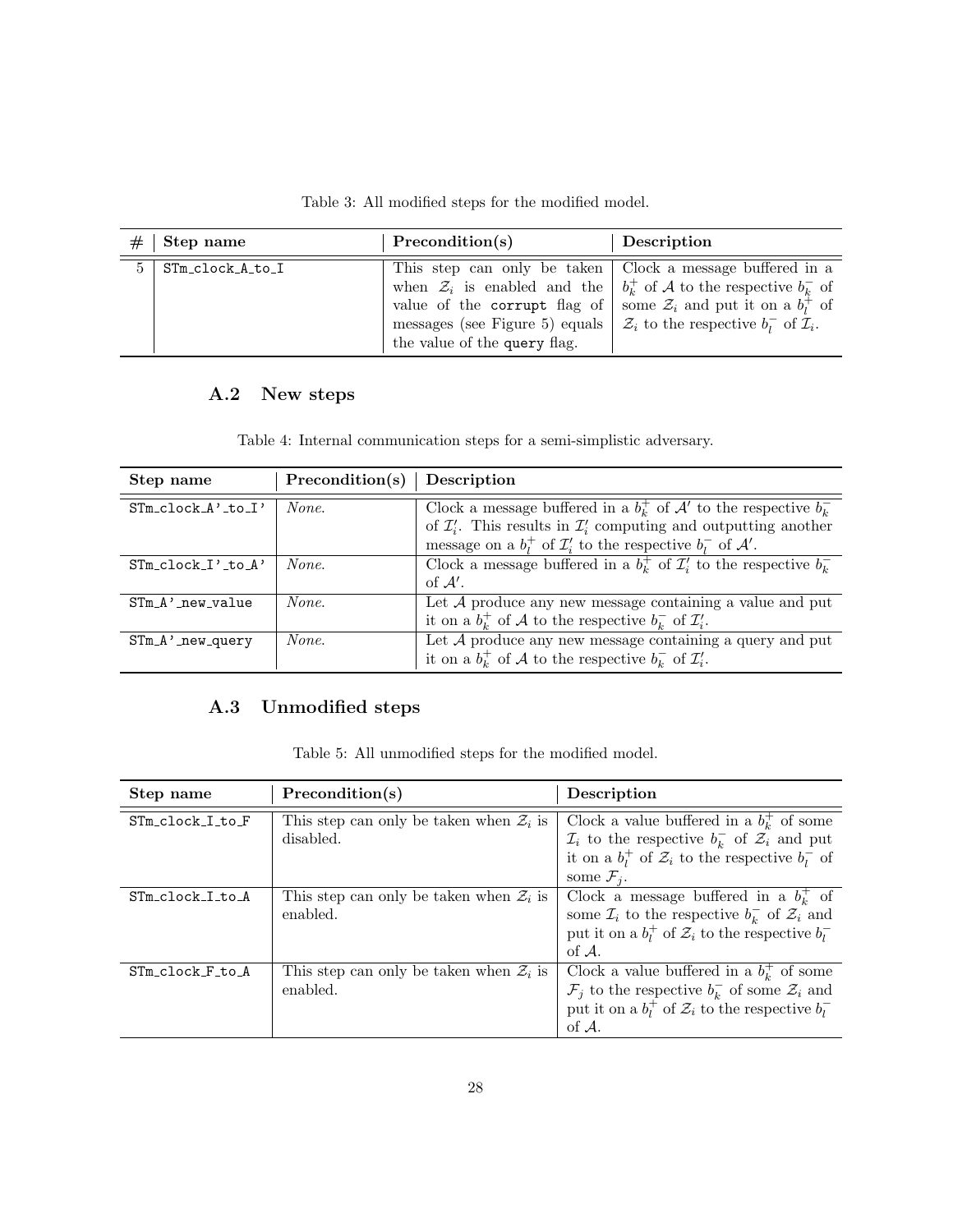Table 3: All modified steps for the modified model.

| #           | Step name        | Precondition(s)                                                                                                                                                                                                                                                              | Description                                                                            |
|-------------|------------------|------------------------------------------------------------------------------------------------------------------------------------------------------------------------------------------------------------------------------------------------------------------------------|----------------------------------------------------------------------------------------|
| $5^{\circ}$ | STm_clock_A_to_I | This step can only be taken   Clock a message buffered in a<br>value of the corrupt flag of some $\mathcal{Z}_i$ and put it on a $b_i^+$ of<br>messages (see Figure 5) equals $\mathcal{Z}_i$ to the respective $b_i^-$ of $\mathcal{I}_i$ .<br>the value of the query flag. | when $\mathcal{Z}_i$ is enabled and the $\mid b_k^+$ of A to the respective $b_k^-$ of |

# A.2 New steps

Table 4: Internal communication steps for a semi-simplistic adversary.

| Step name                | Precondition(s) | Description                                                                                                                                                    |
|--------------------------|-----------------|----------------------------------------------------------------------------------------------------------------------------------------------------------------|
| $STm$ clock $A'$ to $I'$ | None.           | Clock a message buffered in a $bk+$ of $A'$ to the respective $bk-$<br>of $\mathcal{I}'_i$ . This results in $\mathcal{I}'_i$ computing and outputting another |
|                          |                 | message on a $b_l^+$ of $\mathcal{I}'_i$ to the respective $b_l^-$ of $\mathcal{A}'$ .                                                                         |
| $STM\_clock\_I'.to_A'$   | None.           | Clock a message buffered in a $b_k^+$ of $\mathcal{I}'_i$ to the respective $b_k^-$                                                                            |
|                          |                 | of $A'$ .                                                                                                                                                      |
| $STM_A$ ' new value      | None.           | Let $A$ produce any new message containing a value and put                                                                                                     |
|                          |                 | it on a $b_k^+$ of A to the respective $b_k^-$ of $\mathcal{I}'_i$ .                                                                                           |
| $STM_A$ ' new query      | None.           | Let $A$ produce any new message containing a query and put                                                                                                     |
|                          |                 | it on a $b_k^+$ of A to the respective $b_k^-$ of $\mathcal{I}'_i$ .                                                                                           |

# A.3 Unmodified steps

|  |  | Table 5: All unmodified steps for the modified model. |  |  |  |  |  |
|--|--|-------------------------------------------------------|--|--|--|--|--|
|--|--|-------------------------------------------------------|--|--|--|--|--|

| Step name        | Precondition(s)                                                  | Description                                                                                                                                                                                                      |
|------------------|------------------------------------------------------------------|------------------------------------------------------------------------------------------------------------------------------------------------------------------------------------------------------------------|
| STm_clock_I_to_F | This step can only be taken when $\mathcal{Z}_i$ is<br>disabled. | Clock a value buffered in a $b_k^+$ of some<br>$\mathcal{I}_i$ to the respective $b_k^-$ of $\mathcal{Z}_i$ and put<br>it on a $b_l^+$ of $\mathcal{Z}_i$ to the respective $b_l^-$ of<br>some $\mathcal{F}_i$ . |
| STm_clock_I_to_A | This step can only be taken when $\mathcal{Z}_i$ is<br>enabled.  | Clock a message buffered in a $bk+$ of<br>some $\mathcal{I}_i$ to the respective $b_k^-$ of $\mathcal{Z}_i$ and<br>put it on a $b_l^+$ of $\mathcal{Z}_i$ to the respective $b_l^-$<br>of $A$ .                  |
| STm_clock F_to_A | This step can only be taken when $\mathcal{Z}_i$ is<br>enabled.  | Clock a value buffered in a $bk+$ of some<br>$\mathcal{F}_i$ to the respective $b_k^-$ of some $\mathcal{Z}_i$ and<br>put it on a $b_l^+$ of $\mathcal{Z}_i$ to the respective $b_l^-$<br>of $A$ .               |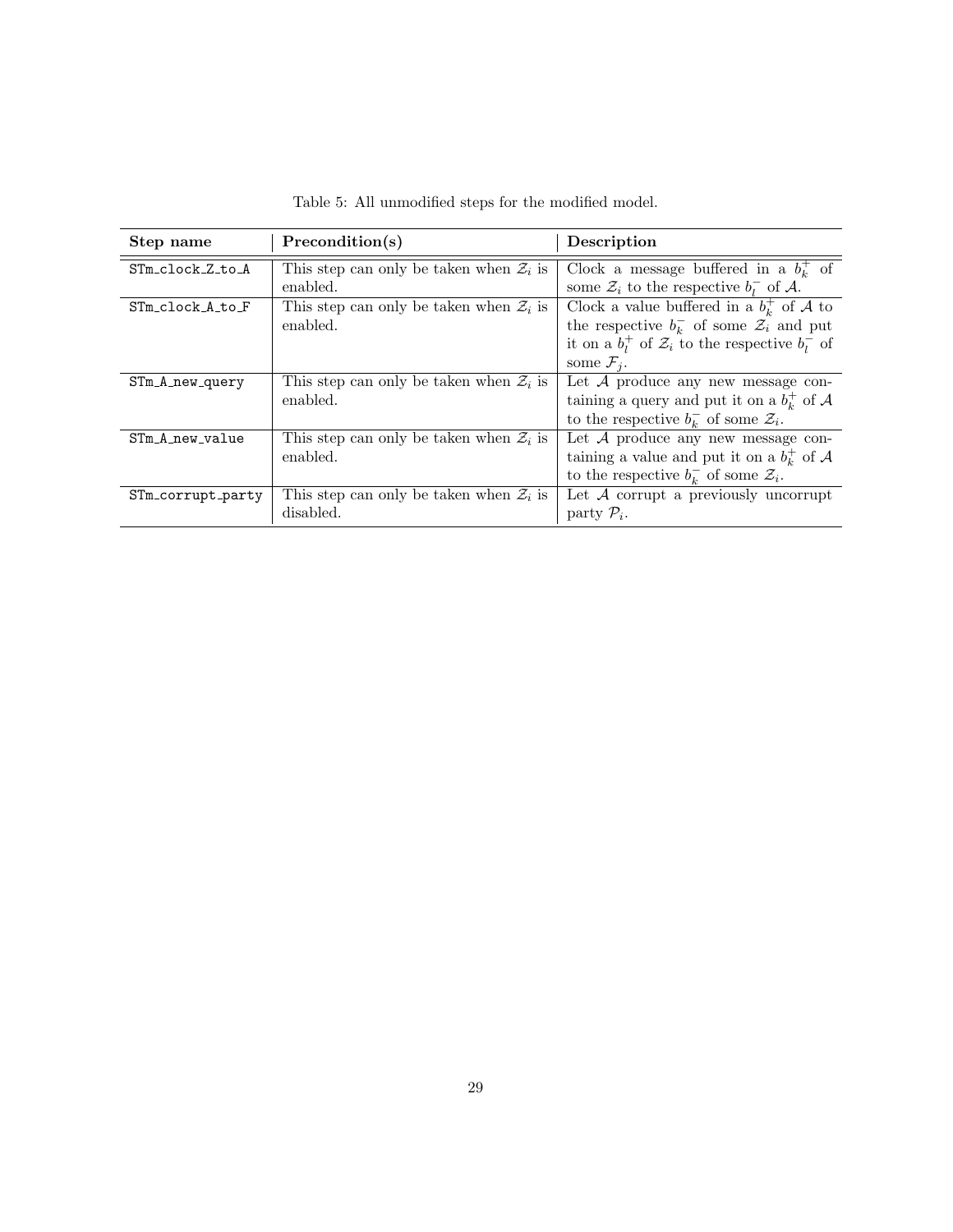| Step name         | Precondition(s)                                     | Description                                                     |
|-------------------|-----------------------------------------------------|-----------------------------------------------------------------|
| STm_clock_Z_to_A  | This step can only be taken when $\mathcal{Z}_i$ is | Clock a message buffered in a $bk+$ of                          |
|                   | enabled.                                            | some $\mathcal{Z}_i$ to the respective $b_i^-$ of A.            |
| STm clock A to F  | This step can only be taken when $\mathcal{Z}_i$ is | Clock a value buffered in a $bk+$ of A to                       |
|                   | enabled.                                            | the respective $b_k^-$ of some $\mathcal{Z}_i$ and put          |
|                   |                                                     | it on a $b_l^+$ of $\mathcal{Z}_i$ to the respective $b_l^-$ of |
|                   |                                                     | some $\mathcal{F}_i$ .                                          |
| $STM_A_new_query$ | This step can only be taken when $\mathcal{Z}_i$ is | Let $A$ produce any new message con-                            |
|                   | enabled.                                            | taining a query and put it on a $bk+$ of A                      |
|                   |                                                     | to the respective $b_k^-$ of some $\mathcal{Z}_i$ .             |
| STm_A_new_value   | This step can only be taken when $\mathcal{Z}_i$ is | Let $A$ produce any new message con-                            |
|                   | enabled.                                            | taining a value and put it on a $bk+$ of A                      |
|                   |                                                     | to the respective $b_k^-$ of some $\mathcal{Z}_i$ .             |
| STm_corrupt_party | This step can only be taken when $\mathcal{Z}_i$ is | Let $A$ corrupt a previously uncorrupt                          |
|                   | disabled.                                           | party $\mathcal{P}_i$ .                                         |

Table 5: All unmodified steps for the modified model.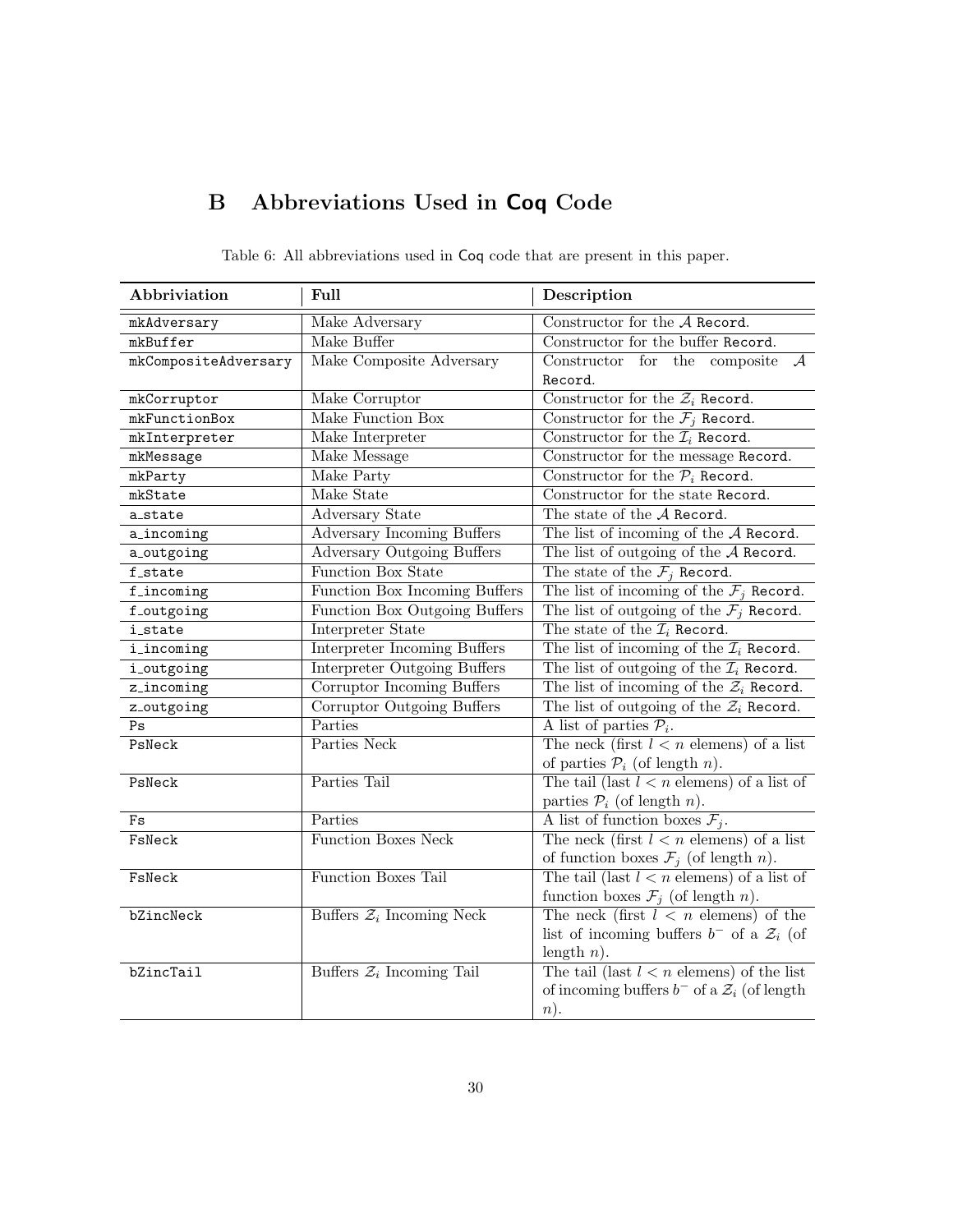# B Abbreviations Used in Coq Code

| Abbriviation         | Full                                  | Description                                               |
|----------------------|---------------------------------------|-----------------------------------------------------------|
| mkAdversary          | Make Adversary                        | Constructor for the A Record.                             |
| mkBuffer             | Make Buffer                           | Constructor for the buffer Record.                        |
| mkCompositeAdversary | Make Composite Adversary              | Constructor for the composite<br>$\mathcal{A}$            |
|                      |                                       | Record.                                                   |
| mkCorruptor          | Make Corruptor                        | Constructor for the $\mathcal{Z}_i$ Record.               |
| mkFunctionBox        | Make Function Box                     | Constructor for the $\mathcal{F}_i$ Record.               |
| mkInterpreter        | Make Interpreter                      | Constructor for the $\mathcal{I}_i$ Record.               |
| mkMessage            | Make Message                          | Constructor for the message Record.                       |
| mkParty              | Make Party                            | Constructor for the $\mathcal{P}_i$ Record.               |
| mkState              | Make State                            | Constructor for the state Record.                         |
| a_state              | Adversary State                       | The state of the A Record.                                |
| a_incoming           | <b>Adversary Incoming Buffers</b>     | The list of incoming of the $A$ Record.                   |
| a_outgoing           | <b>Adversary Outgoing Buffers</b>     | The list of outgoing of the $A$ Record.                   |
| f_state              | Function Box State                    | The state of the $\mathcal{F}_i$ Record.                  |
| ${\tt f\_incoming}$  | Function Box Incoming Buffers         | The list of incoming of the $\mathcal{F}_j$ Record.       |
| f_outgoing           | Function Box Outgoing Buffers         | The list of outgoing of the $\mathcal{F}_j$ Record.       |
| <i>i_state</i>       | Interpreter State                     | The state of the $\mathcal{I}_i$ Record.                  |
| i_incoming           | Interpreter Incoming Buffers          | The list of incoming of the $\mathcal{I}_i$ Record.       |
| i_outgoing           | <b>Interpreter Outgoing Buffers</b>   | The list of outgoing of the $\mathcal{I}_i$ Record.       |
| z_incoming           | <b>Corruptor Incoming Buffers</b>     | The list of incoming of the $\mathcal{Z}_i$ Record.       |
| z_outgoing           | Corruptor Outgoing Buffers            | The list of outgoing of the $\mathcal{Z}_i$ Record.       |
| Ps                   | Parties                               | A list of parties $P_i$ .                                 |
| PsNeck               | Parties Neck                          | The neck (first $l < n$ elemens) of a list                |
|                      |                                       | of parties $P_i$ (of length <i>n</i> ).                   |
| PsNeck               | Parties Tail                          | The tail (last $l < n$ elemens) of a list of              |
|                      |                                       | parties $P_i$ (of length <i>n</i> ).                      |
| Fs                   | Parties                               | A list of function boxes $\mathcal{F}_j$ .                |
| FsNeck               | <b>Function Boxes Neck</b>            | The neck (first $l < n$ elemens) of a list                |
|                      |                                       | of function boxes $\mathcal{F}_j$ (of length <i>n</i> ).  |
| FsNeck               | <b>Function Boxes Tail</b>            | The tail (last $l < n$ elemens) of a list of              |
|                      |                                       | function boxes $\mathcal{F}_j$ (of length <i>n</i> ).     |
| bZincNeck            | Buffers $\mathcal{Z}_i$ Incoming Neck | The neck (first $l \leq n$ elemens) of the                |
|                      |                                       | list of incoming buffers $b^-$ of a $\mathcal{Z}_i$ (of   |
|                      |                                       | length $n$ ).                                             |
| bZincTail            | Buffers $\mathcal{Z}_i$ Incoming Tail | The tail (last $l < n$ elemens) of the list               |
|                      |                                       | of incoming buffers $b^-$ of a $\mathcal{Z}_i$ (of length |
|                      |                                       | n).                                                       |

Table 6: All abbreviations used in Coq code that are present in this paper.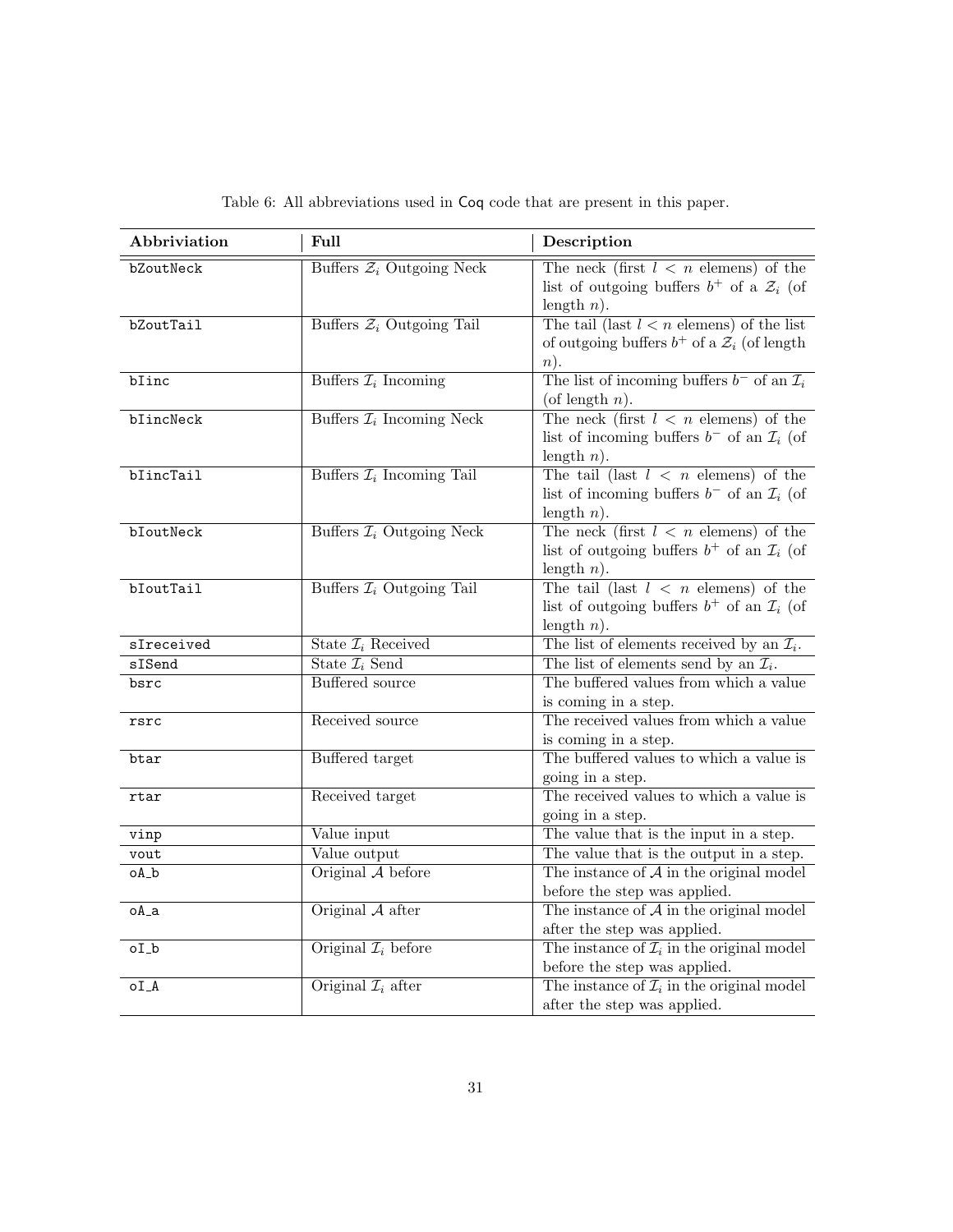| Abbriviation   | Full                                  | Description                                                                                                             |
|----------------|---------------------------------------|-------------------------------------------------------------------------------------------------------------------------|
| bZoutNeck      | Buffers $\mathcal{Z}_i$ Outgoing Neck | The neck (first $l \leq n$ elemens) of the<br>list of outgoing buffers $b^+$ of a $\mathcal{Z}_i$ (of<br>length $n$ ).  |
| bZoutTail      | Buffers $\mathcal{Z}_i$ Outgoing Tail | The tail (last $l < n$ elemens) of the list<br>of outgoing buffers $b^+$ of a $\mathcal{Z}_i$ (of length<br>$n$ ).      |
| blinc          | Buffers $\mathcal{I}_i$ Incoming      | The list of incoming buffers $b^-$ of an $\mathcal{I}_i$<br>(of length $n$ ).                                           |
| bIincNeck      | Buffers $\mathcal{I}_i$ Incoming Neck | The neck (first $l \leq n$ elemens) of the<br>list of incoming buffers $b^-$ of an $\mathcal{I}_i$ (of<br>length $n$ ). |
| blineTail      | Buffers $\mathcal{I}_i$ Incoming Tail | The tail (last $l \leq n$ elemens) of the<br>list of incoming buffers $b^-$ of an $\mathcal{I}_i$ (of<br>length $n$ ).  |
| bIoutNeck      | Buffers $\mathcal{I}_i$ Outgoing Neck | The neck (first $l \leq n$ elemens) of the<br>list of outgoing buffers $b^+$ of an $\mathcal{I}_i$ (of<br>length $n$ ). |
| bIoutTail      | Buffers $\mathcal{I}_i$ Outgoing Tail | The tail (last $l \leq n$ elemens) of the<br>list of outgoing buffers $b^+$ of an $\mathcal{I}_i$ (of<br>length $n$ ).  |
| sIreceived     | State $\mathcal{I}_i$ Received        | The list of elements received by an $\mathcal{I}_i$ .                                                                   |
| sISend         | State $\mathcal{I}_i$ Send            | The list of elements send by an $\mathcal{I}_i$ .                                                                       |
| bsrc           | <b>Buffered</b> source                | The buffered values from which a value<br>is coming in a step.                                                          |
| rsrc           | Received source                       | The received values from which a value<br>is coming in a step.                                                          |
| btar           | Buffered target                       | The buffered values to which a value is<br>going in a step.                                                             |
| rtar           | Received target                       | The received values to which a value is<br>going in a step.                                                             |
| vinp           | Value input                           | The value that is the input in a step.                                                                                  |
| vout           | Value output                          | The value that is the output in a step.                                                                                 |
| $oA_b$         | Original A before                     | The instance of $A$ in the original model<br>before the step was applied.                                               |
| $oA_a$         | Original $A$ after                    | The instance of $A$ in the original model<br>after the step was applied.                                                |
| oL             | Original $\mathcal{I}_i$ before       | The instance of $\mathcal{I}_i$ in the original model<br>before the step was applied.                                   |
| O <sub>A</sub> | Original $\mathcal{I}_i$ after        | The instance of $\mathcal{I}_i$ in the original model<br>after the step was applied.                                    |

Table 6: All abbreviations used in Coq code that are present in this paper.